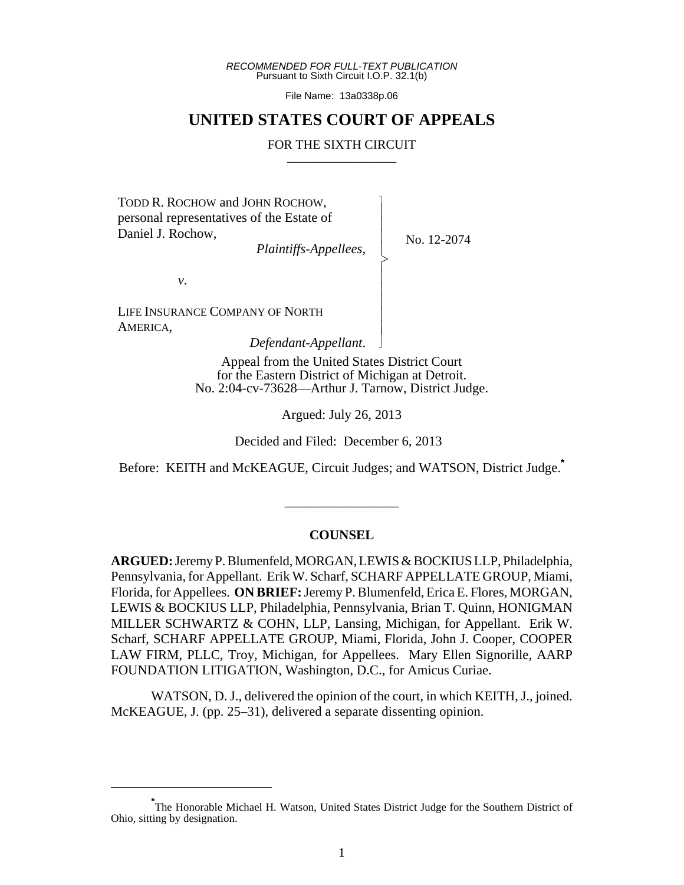*RECOMMENDED FOR FULL-TEXT PUBLICATION* Pursuant to Sixth Circuit I.O.P. 32.1(b)

File Name: 13a0338p.06

### **UNITED STATES COURT OF APPEALS**

#### FOR THE SIXTH CIRCUIT

 $\overline{\phantom{a}}$ - - - > , - - - - - N

TODD R. ROCHOW and JOHN ROCHOW, personal representatives of the Estate of Daniel J. Rochow,

*Plaintiffs-Appellees*,

No. 12-2074

*v*.

LIFE INSURANCE COMPANY OF NORTH AMERICA,

*Defendant-Appellant*.

Appeal from the United States District Court for the Eastern District of Michigan at Detroit. No. 2:04-cv-73628—Arthur J. Tarnow, District Judge.

Argued: July 26, 2013

Decided and Filed: December 6, 2013

Before: KEITH and McKEAGUE, Circuit Judges; and WATSON, District Judge.**\***

\_\_\_\_\_\_\_\_\_\_\_\_\_\_\_\_\_

#### **COUNSEL**

**ARGUED:** Jeremy P. Blumenfeld, MORGAN, LEWIS & BOCKIUS LLP, Philadelphia, Pennsylvania, for Appellant. Erik W. Scharf, SCHARF APPELLATE GROUP, Miami, Florida, for Appellees. **ON BRIEF:** Jeremy P. Blumenfeld, Erica E. Flores, MORGAN, LEWIS & BOCKIUS LLP, Philadelphia, Pennsylvania, Brian T. Quinn, HONIGMAN MILLER SCHWARTZ & COHN, LLP, Lansing, Michigan, for Appellant. Erik W. Scharf, SCHARF APPELLATE GROUP, Miami, Florida, John J. Cooper, COOPER LAW FIRM, PLLC, Troy, Michigan, for Appellees. Mary Ellen Signorille, AARP FOUNDATION LITIGATION, Washington, D.C., for Amicus Curiae.

WATSON, D. J., delivered the opinion of the court, in which KEITH, J., joined. McKEAGUE, J. (pp. 25–31), delivered a separate dissenting opinion.

<sup>\*&</sup>lt;br>The Honorable Michael H. Watson, United States District Judge for the Southern District of Ohio, sitting by designation.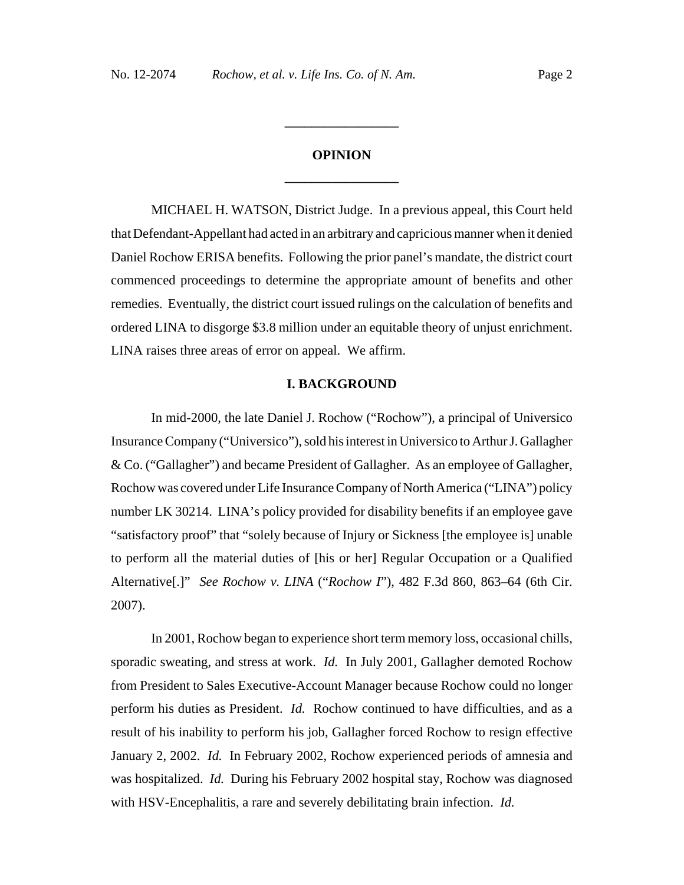# **OPINION \_\_\_\_\_\_\_\_\_\_\_\_\_\_\_\_\_**

**\_\_\_\_\_\_\_\_\_\_\_\_\_\_\_\_\_**

MICHAEL H. WATSON, District Judge. In a previous appeal, this Court held that Defendant-Appellant had acted in an arbitrary and capricious manner when it denied Daniel Rochow ERISA benefits. Following the prior panel's mandate, the district court commenced proceedings to determine the appropriate amount of benefits and other remedies. Eventually, the district court issued rulings on the calculation of benefits and ordered LINA to disgorge \$3.8 million under an equitable theory of unjust enrichment. LINA raises three areas of error on appeal. We affirm.

#### **I. BACKGROUND**

In mid-2000, the late Daniel J. Rochow ("Rochow"), a principal of Universico Insurance Company ("Universico"), sold his interest in Universico to Arthur J. Gallagher & Co. ("Gallagher") and became President of Gallagher. As an employee of Gallagher, Rochow was covered under Life Insurance Company of North America ("LINA") policy number LK 30214. LINA's policy provided for disability benefits if an employee gave "satisfactory proof" that "solely because of Injury or Sickness [the employee is] unable to perform all the material duties of [his or her] Regular Occupation or a Qualified Alternative[.]" *See Rochow v. LINA* ("*Rochow I*"), 482 F.3d 860, 863–64 (6th Cir. 2007).

In 2001, Rochow began to experience short term memory loss, occasional chills, sporadic sweating, and stress at work. *Id.* In July 2001, Gallagher demoted Rochow from President to Sales Executive-Account Manager because Rochow could no longer perform his duties as President. *Id.* Rochow continued to have difficulties, and as a result of his inability to perform his job, Gallagher forced Rochow to resign effective January 2, 2002. *Id.* In February 2002, Rochow experienced periods of amnesia and was hospitalized. *Id.* During his February 2002 hospital stay, Rochow was diagnosed with HSV-Encephalitis, a rare and severely debilitating brain infection. *Id.*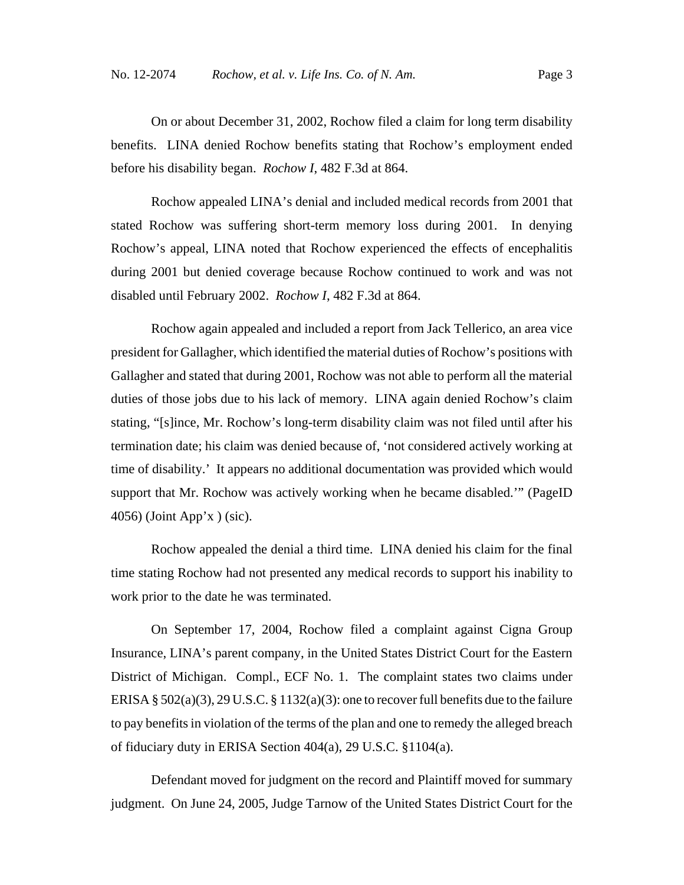On or about December 31, 2002, Rochow filed a claim for long term disability benefits. LINA denied Rochow benefits stating that Rochow's employment ended before his disability began. *Rochow I*, 482 F.3d at 864.

Rochow appealed LINA's denial and included medical records from 2001 that stated Rochow was suffering short-term memory loss during 2001. In denying Rochow's appeal, LINA noted that Rochow experienced the effects of encephalitis during 2001 but denied coverage because Rochow continued to work and was not disabled until February 2002. *Rochow I*, 482 F.3d at 864.

Rochow again appealed and included a report from Jack Tellerico, an area vice president for Gallagher, which identified the material duties of Rochow's positions with Gallagher and stated that during 2001, Rochow was not able to perform all the material duties of those jobs due to his lack of memory. LINA again denied Rochow's claim stating, "[s]ince, Mr. Rochow's long-term disability claim was not filed until after his termination date; his claim was denied because of, 'not considered actively working at time of disability.' It appears no additional documentation was provided which would support that Mr. Rochow was actively working when he became disabled.'" (PageID 4056) (Joint App'x ) (sic).

Rochow appealed the denial a third time. LINA denied his claim for the final time stating Rochow had not presented any medical records to support his inability to work prior to the date he was terminated.

On September 17, 2004, Rochow filed a complaint against Cigna Group Insurance, LINA's parent company, in the United States District Court for the Eastern District of Michigan. Compl., ECF No. 1. The complaint states two claims under ERISA § 502(a)(3), 29 U.S.C. § 1132(a)(3): one to recover full benefits due to the failure to pay benefits in violation of the terms of the plan and one to remedy the alleged breach of fiduciary duty in ERISA Section 404(a), 29 U.S.C. §1104(a).

Defendant moved for judgment on the record and Plaintiff moved for summary judgment. On June 24, 2005, Judge Tarnow of the United States District Court for the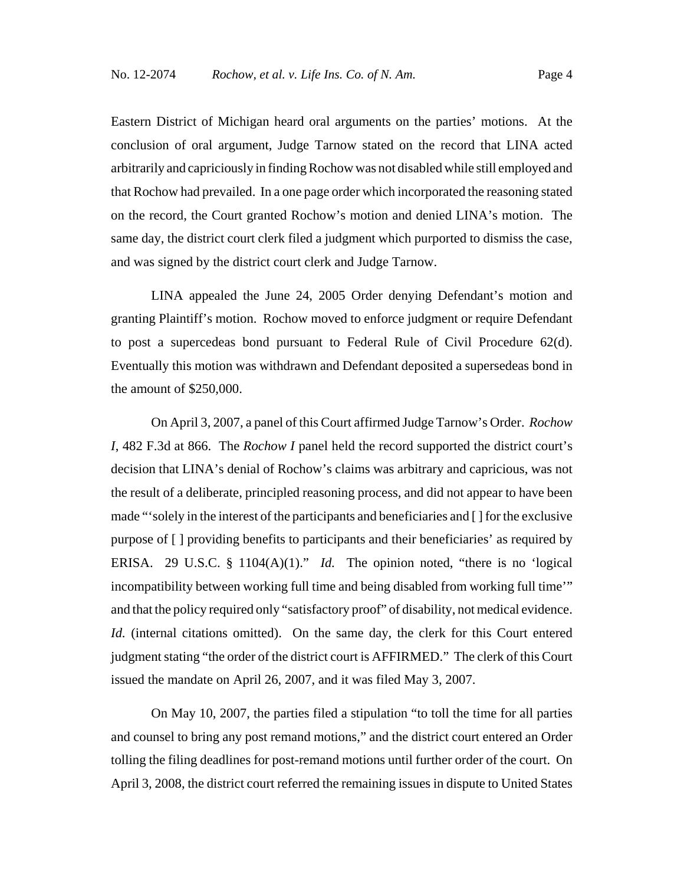Eastern District of Michigan heard oral arguments on the parties' motions. At the conclusion of oral argument, Judge Tarnow stated on the record that LINA acted arbitrarily and capriciously in finding Rochow was not disabled while still employed and that Rochow had prevailed. In a one page order which incorporated the reasoning stated on the record, the Court granted Rochow's motion and denied LINA's motion. The same day, the district court clerk filed a judgment which purported to dismiss the case, and was signed by the district court clerk and Judge Tarnow.

LINA appealed the June 24, 2005 Order denying Defendant's motion and granting Plaintiff's motion. Rochow moved to enforce judgment or require Defendant to post a supercedeas bond pursuant to Federal Rule of Civil Procedure 62(d). Eventually this motion was withdrawn and Defendant deposited a supersedeas bond in the amount of \$250,000.

On April 3, 2007, a panel of this Court affirmed Judge Tarnow's Order. *Rochow I*, 482 F.3d at 866. The *Rochow I* panel held the record supported the district court's decision that LINA's denial of Rochow's claims was arbitrary and capricious, was not the result of a deliberate, principled reasoning process, and did not appear to have been made "'solely in the interest of the participants and beneficiaries and [ ] for the exclusive purpose of [ ] providing benefits to participants and their beneficiaries' as required by ERISA. 29 U.S.C. § 1104(A)(1)." *Id.* The opinion noted, "there is no 'logical incompatibility between working full time and being disabled from working full time'" and that the policy required only "satisfactory proof" of disability, not medical evidence. *Id.* (internal citations omitted). On the same day, the clerk for this Court entered judgment stating "the order of the district court is AFFIRMED." The clerk of this Court issued the mandate on April 26, 2007, and it was filed May 3, 2007.

On May 10, 2007, the parties filed a stipulation "to toll the time for all parties and counsel to bring any post remand motions," and the district court entered an Order tolling the filing deadlines for post-remand motions until further order of the court. On April 3, 2008, the district court referred the remaining issues in dispute to United States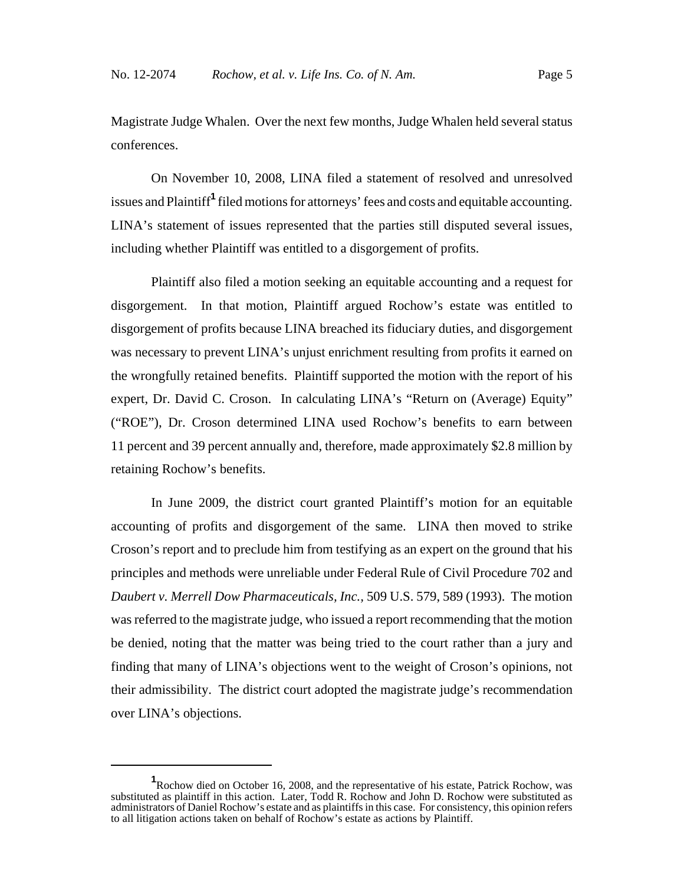Magistrate Judge Whalen. Over the next few months, Judge Whalen held several status conferences.

On November 10, 2008, LINA filed a statement of resolved and unresolved issues and Plaintiff**<sup>1</sup>** filed motions for attorneys' fees and costs and equitable accounting. LINA's statement of issues represented that the parties still disputed several issues, including whether Plaintiff was entitled to a disgorgement of profits.

Plaintiff also filed a motion seeking an equitable accounting and a request for disgorgement. In that motion, Plaintiff argued Rochow's estate was entitled to disgorgement of profits because LINA breached its fiduciary duties, and disgorgement was necessary to prevent LINA's unjust enrichment resulting from profits it earned on the wrongfully retained benefits. Plaintiff supported the motion with the report of his expert, Dr. David C. Croson. In calculating LINA's "Return on (Average) Equity" ("ROE"), Dr. Croson determined LINA used Rochow's benefits to earn between 11 percent and 39 percent annually and, therefore, made approximately \$2.8 million by retaining Rochow's benefits.

In June 2009, the district court granted Plaintiff's motion for an equitable accounting of profits and disgorgement of the same. LINA then moved to strike Croson's report and to preclude him from testifying as an expert on the ground that his principles and methods were unreliable under Federal Rule of Civil Procedure 702 and *Daubert v. Merrell Dow Pharmaceuticals, Inc.,* 509 U.S. 579, 589 (1993). The motion was referred to the magistrate judge, who issued a report recommending that the motion be denied, noting that the matter was being tried to the court rather than a jury and finding that many of LINA's objections went to the weight of Croson's opinions, not their admissibility. The district court adopted the magistrate judge's recommendation over LINA's objections.

**<sup>1</sup>** Rochow died on October 16, 2008, and the representative of his estate, Patrick Rochow, was substituted as plaintiff in this action. Later, Todd R. Rochow and John D. Rochow were substituted as administrators of Daniel Rochow's estate and as plaintiffs in this case. For consistency, this opinion refers to all litigation actions taken on behalf of Rochow's estate as actions by Plaintiff.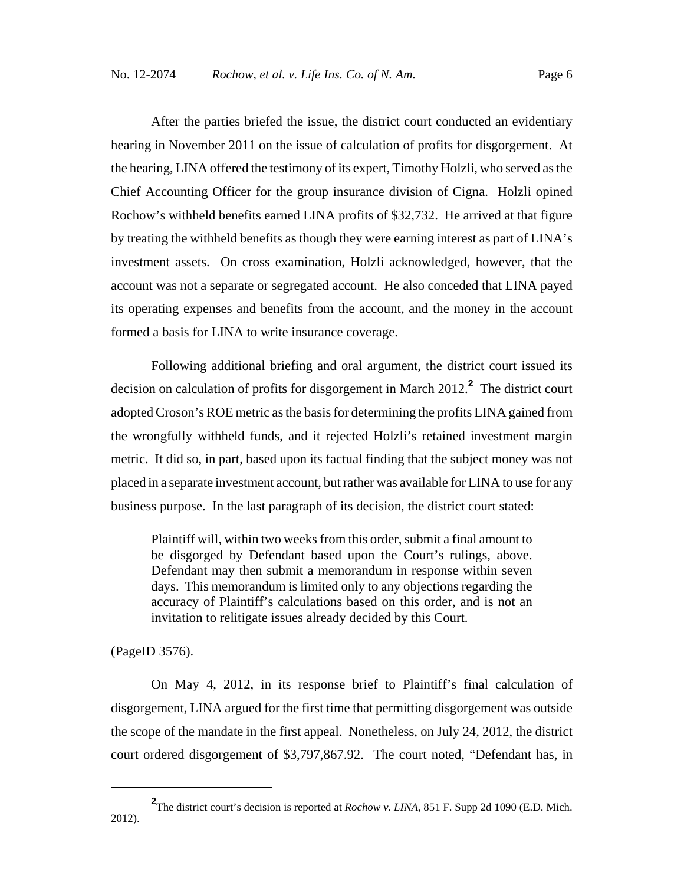After the parties briefed the issue, the district court conducted an evidentiary hearing in November 2011 on the issue of calculation of profits for disgorgement. At the hearing, LINA offered the testimony of its expert, Timothy Holzli, who served as the Chief Accounting Officer for the group insurance division of Cigna. Holzli opined Rochow's withheld benefits earned LINA profits of \$32,732. He arrived at that figure by treating the withheld benefits as though they were earning interest as part of LINA's investment assets. On cross examination, Holzli acknowledged, however, that the account was not a separate or segregated account. He also conceded that LINA payed its operating expenses and benefits from the account, and the money in the account formed a basis for LINA to write insurance coverage.

Following additional briefing and oral argument, the district court issued its decision on calculation of profits for disgorgement in March 2012.**<sup>2</sup>** The district court adopted Croson's ROE metric as the basis for determining the profits LINA gained from the wrongfully withheld funds, and it rejected Holzli's retained investment margin metric. It did so, in part, based upon its factual finding that the subject money was not placed in a separate investment account, but rather was available for LINA to use for any business purpose. In the last paragraph of its decision, the district court stated:

Plaintiff will, within two weeks from this order, submit a final amount to be disgorged by Defendant based upon the Court's rulings, above. Defendant may then submit a memorandum in response within seven days. This memorandum is limited only to any objections regarding the accuracy of Plaintiff's calculations based on this order, and is not an invitation to relitigate issues already decided by this Court.

(PageID 3576).

On May 4, 2012, in its response brief to Plaintiff's final calculation of disgorgement, LINA argued for the first time that permitting disgorgement was outside the scope of the mandate in the first appeal. Nonetheless, on July 24, 2012, the district court ordered disgorgement of \$3,797,867.92. The court noted, "Defendant has, in

**<sup>2</sup>** The district court's decision is reported at *Rochow v. LINA*, 851 F. Supp 2d 1090 (E.D. Mich. 2012).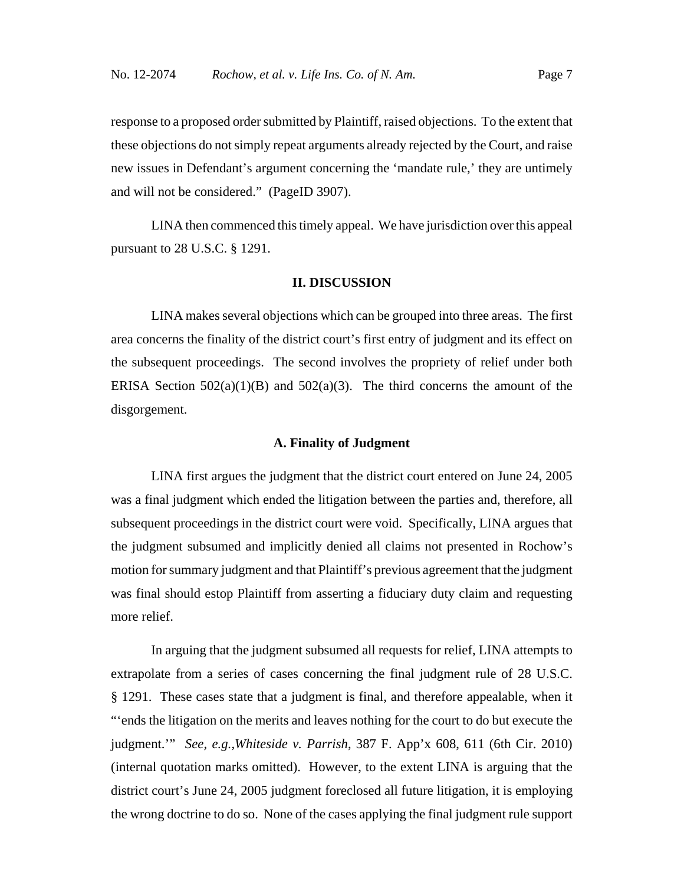response to a proposed order submitted by Plaintiff, raised objections. To the extent that these objections do not simply repeat arguments already rejected by the Court, and raise new issues in Defendant's argument concerning the 'mandate rule,' they are untimely and will not be considered." (PageID 3907).

LINA then commenced this timely appeal. We have jurisdiction over this appeal pursuant to 28 U.S.C. § 1291.

#### **II. DISCUSSION**

LINA makes several objections which can be grouped into three areas. The first area concerns the finality of the district court's first entry of judgment and its effect on the subsequent proceedings. The second involves the propriety of relief under both ERISA Section  $502(a)(1)(B)$  and  $502(a)(3)$ . The third concerns the amount of the disgorgement.

#### **A. Finality of Judgment**

LINA first argues the judgment that the district court entered on June 24, 2005 was a final judgment which ended the litigation between the parties and, therefore, all subsequent proceedings in the district court were void. Specifically, LINA argues that the judgment subsumed and implicitly denied all claims not presented in Rochow's motion for summary judgment and that Plaintiff's previous agreement that the judgment was final should estop Plaintiff from asserting a fiduciary duty claim and requesting more relief.

In arguing that the judgment subsumed all requests for relief, LINA attempts to extrapolate from a series of cases concerning the final judgment rule of 28 U.S.C. § 1291. These cases state that a judgment is final, and therefore appealable, when it "'ends the litigation on the merits and leaves nothing for the court to do but execute the judgment.'" *See, e.g.,Whiteside v. Parrish*, 387 F. App'x 608, 611 (6th Cir. 2010) (internal quotation marks omitted). However, to the extent LINA is arguing that the district court's June 24, 2005 judgment foreclosed all future litigation, it is employing the wrong doctrine to do so. None of the cases applying the final judgment rule support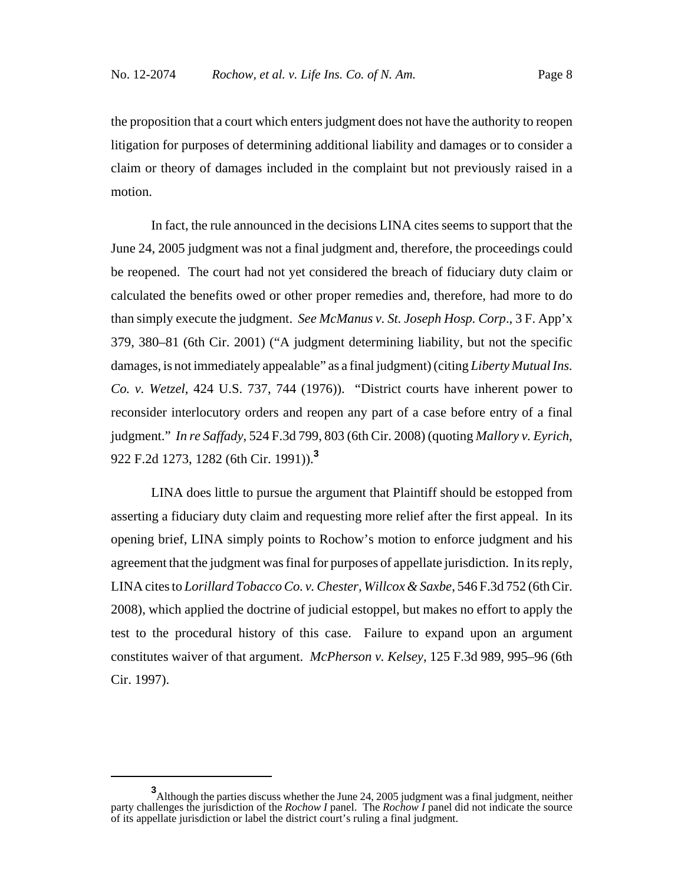the proposition that a court which enters judgment does not have the authority to reopen litigation for purposes of determining additional liability and damages or to consider a claim or theory of damages included in the complaint but not previously raised in a motion.

In fact, the rule announced in the decisions LINA cites seems to support that the June 24, 2005 judgment was not a final judgment and, therefore, the proceedings could be reopened. The court had not yet considered the breach of fiduciary duty claim or calculated the benefits owed or other proper remedies and, therefore, had more to do than simply execute the judgment. *See McManus v. St. Joseph Hosp. Corp*., 3 F. App'x 379, 380–81 (6th Cir. 2001) ("A judgment determining liability, but not the specific damages, is not immediately appealable" as a final judgment) (citing *Liberty Mutual Ins. Co. v. Wetzel*, 424 U.S. 737, 744 (1976)). "District courts have inherent power to reconsider interlocutory orders and reopen any part of a case before entry of a final judgment." *In re Saffady*, 524 F.3d 799, 803 (6th Cir. 2008) (quoting *Mallory v. Eyrich*, 922 F.2d 1273, 1282 (6th Cir. 1991)).**<sup>3</sup>**

LINA does little to pursue the argument that Plaintiff should be estopped from asserting a fiduciary duty claim and requesting more relief after the first appeal. In its opening brief, LINA simply points to Rochow's motion to enforce judgment and his agreement that the judgment was final for purposes of appellate jurisdiction. In its reply, LINA cites to *Lorillard Tobacco Co. v. Chester, Willcox & Saxbe*, 546 F.3d 752 (6th Cir. 2008), which applied the doctrine of judicial estoppel, but makes no effort to apply the test to the procedural history of this case. Failure to expand upon an argument constitutes waiver of that argument. *McPherson v. Kelsey*, 125 F.3d 989, 995–96 (6th Cir. 1997).

**<sup>3</sup>**<br>Although the parties discuss whether the June 24, 2005 judgment was a final judgment, neither party challenges the jurisdiction of the *Rochow I* panel. The *Rochow I* panel did not indicate the source of its appellate jurisdiction or label the district court's ruling a final judgment.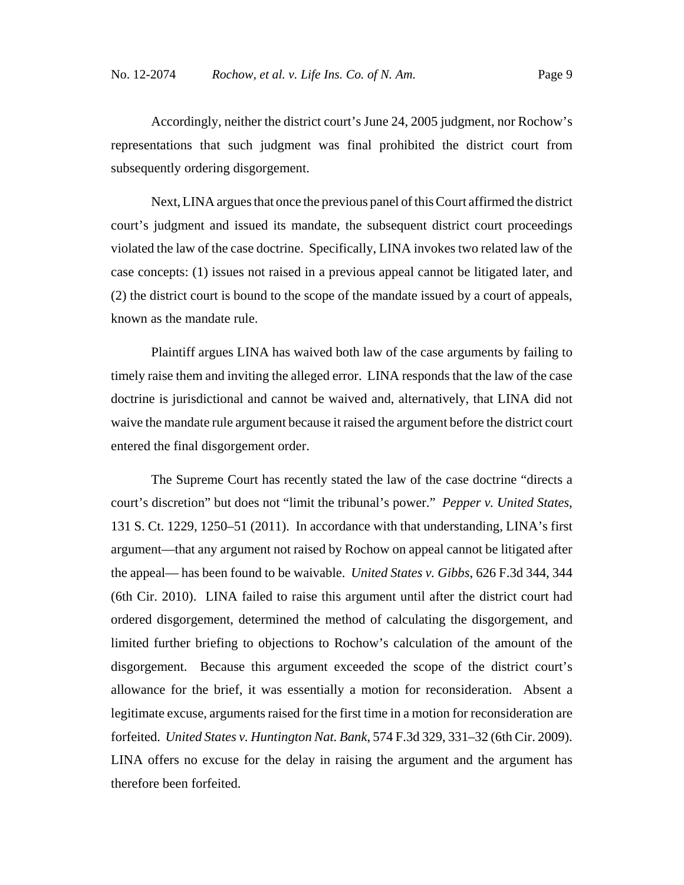Accordingly, neither the district court's June 24, 2005 judgment, nor Rochow's representations that such judgment was final prohibited the district court from subsequently ordering disgorgement.

Next, LINA argues that once the previous panel of this Court affirmed the district court's judgment and issued its mandate, the subsequent district court proceedings violated the law of the case doctrine. Specifically, LINA invokes two related law of the case concepts: (1) issues not raised in a previous appeal cannot be litigated later, and (2) the district court is bound to the scope of the mandate issued by a court of appeals, known as the mandate rule.

Plaintiff argues LINA has waived both law of the case arguments by failing to timely raise them and inviting the alleged error. LINA responds that the law of the case doctrine is jurisdictional and cannot be waived and, alternatively, that LINA did not waive the mandate rule argument because it raised the argument before the district court entered the final disgorgement order.

The Supreme Court has recently stated the law of the case doctrine "directs a court's discretion" but does not "limit the tribunal's power." *Pepper v. United States*, 131 S. Ct. 1229, 1250–51 (2011). In accordance with that understanding, LINA's first argument—that any argument not raised by Rochow on appeal cannot be litigated after the appeal— has been found to be waivable. *United States v. Gibbs*, 626 F.3d 344, 344 (6th Cir. 2010). LINA failed to raise this argument until after the district court had ordered disgorgement, determined the method of calculating the disgorgement, and limited further briefing to objections to Rochow's calculation of the amount of the disgorgement. Because this argument exceeded the scope of the district court's allowance for the brief, it was essentially a motion for reconsideration. Absent a legitimate excuse, arguments raised for the first time in a motion for reconsideration are forfeited. *United States v. Huntington Nat. Bank*, 574 F.3d 329, 331–32 (6th Cir. 2009). LINA offers no excuse for the delay in raising the argument and the argument has therefore been forfeited.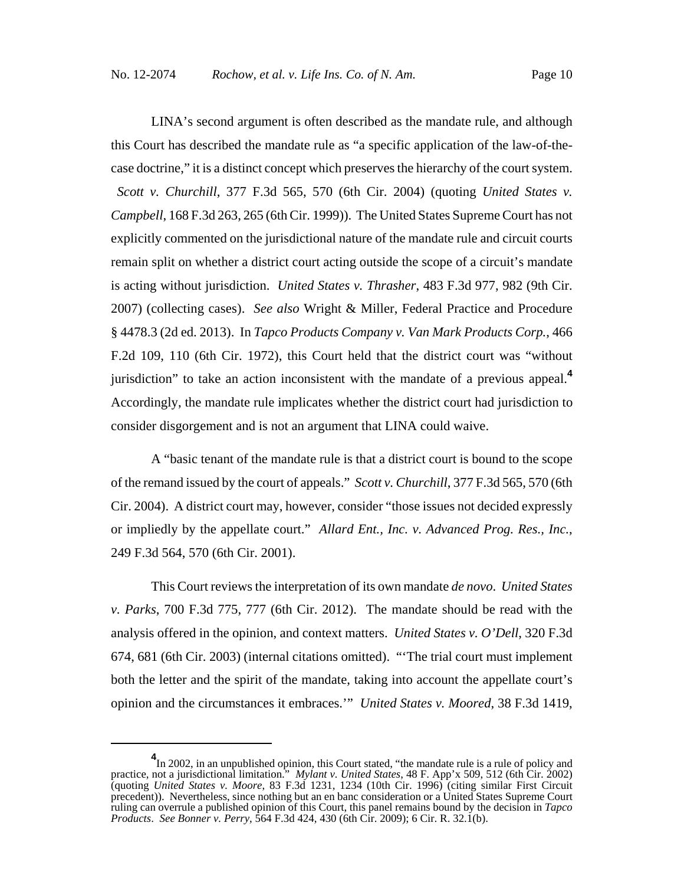LINA's second argument is often described as the mandate rule, and although this Court has described the mandate rule as "a specific application of the law-of-thecase doctrine," it is a distinct concept which preserves the hierarchy of the court system. *Scott v. Churchill*, 377 F.3d 565, 570 (6th Cir. 2004) (quoting *United States v. Campbell*, 168 F.3d 263, 265 (6th Cir. 1999)). The United States Supreme Court has not explicitly commented on the jurisdictional nature of the mandate rule and circuit courts remain split on whether a district court acting outside the scope of a circuit's mandate is acting without jurisdiction. *United States v. Thrasher*, 483 F.3d 977, 982 (9th Cir. 2007) (collecting cases). *See also* Wright & Miller, Federal Practice and Procedure § 4478.3 (2d ed. 2013). In *Tapco Products Company v. Van Mark Products Corp.*, 466 F.2d 109, 110 (6th Cir. 1972), this Court held that the district court was "without jurisdiction" to take an action inconsistent with the mandate of a previous appeal.**<sup>4</sup>** Accordingly, the mandate rule implicates whether the district court had jurisdiction to consider disgorgement and is not an argument that LINA could waive.

A "basic tenant of the mandate rule is that a district court is bound to the scope of the remand issued by the court of appeals." *Scott v. Churchill*, 377 F.3d 565, 570 (6th Cir. 2004). A district court may, however, consider "those issues not decided expressly or impliedly by the appellate court." *Allard Ent., Inc. v. Advanced Prog. Res., Inc.*, 249 F.3d 564, 570 (6th Cir. 2001).

This Court reviews the interpretation of its own mandate *de novo*. *United States v. Parks*, 700 F.3d 775, 777 (6th Cir. 2012). The mandate should be read with the analysis offered in the opinion, and context matters. *United States v. O'Dell*, 320 F.3d 674, 681 (6th Cir. 2003) (internal citations omitted). "'The trial court must implement both the letter and the spirit of the mandate, taking into account the appellate court's opinion and the circumstances it embraces.'" *United States v. Moored*, 38 F.3d 1419,

<sup>&</sup>lt;sup>4</sup>In 2002, in an unpublished opinion, this Court stated, "the mandate rule is a rule of policy and practice, not a jurisdictional limitation." *Mylant v. United States*, 48 F. App'x 509, 512 (6th Cir. 2002) (quoting *United States v. Moore*, 83 F.3d 1231, 1234 (10th Cir. 1996) (citing similar First Circuit precedent)). Nevertheless, since nothing but an en banc consideration or a United States Supreme Court ruling can overrule a published opinion of this Court, this panel remains bound by the decision in *Tapco Products*. *See Bonner v. Perry*, 564 F.3d 424, 430 (6th Cir. 2009); 6 Cir. R. 32.1(b).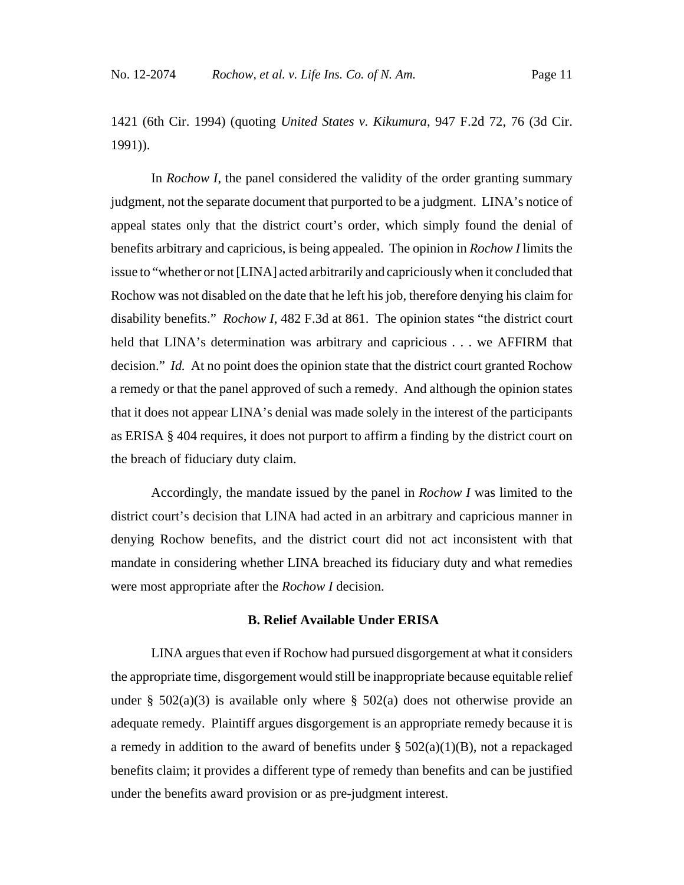1421 (6th Cir. 1994) (quoting *United States v. Kikumura*, 947 F.2d 72, 76 (3d Cir. 1991)).

In *Rochow I*, the panel considered the validity of the order granting summary judgment, not the separate document that purported to be a judgment. LINA's notice of appeal states only that the district court's order, which simply found the denial of benefits arbitrary and capricious, is being appealed. The opinion in *Rochow I* limits the issue to "whether or not [LINA] acted arbitrarily and capriciously when it concluded that Rochow was not disabled on the date that he left his job, therefore denying his claim for disability benefits." *Rochow I*, 482 F.3d at 861. The opinion states "the district court held that LINA's determination was arbitrary and capricious . . . we AFFIRM that decision." *Id.* At no point does the opinion state that the district court granted Rochow a remedy or that the panel approved of such a remedy. And although the opinion states that it does not appear LINA's denial was made solely in the interest of the participants as ERISA § 404 requires, it does not purport to affirm a finding by the district court on the breach of fiduciary duty claim.

Accordingly, the mandate issued by the panel in *Rochow I* was limited to the district court's decision that LINA had acted in an arbitrary and capricious manner in denying Rochow benefits, and the district court did not act inconsistent with that mandate in considering whether LINA breached its fiduciary duty and what remedies were most appropriate after the *Rochow I* decision.

#### **B. Relief Available Under ERISA**

LINA argues that even if Rochow had pursued disgorgement at what it considers the appropriate time, disgorgement would still be inappropriate because equitable relief under §  $502(a)(3)$  is available only where §  $502(a)$  does not otherwise provide an adequate remedy. Plaintiff argues disgorgement is an appropriate remedy because it is a remedy in addition to the award of benefits under  $\S$  502(a)(1)(B), not a repackaged benefits claim; it provides a different type of remedy than benefits and can be justified under the benefits award provision or as pre-judgment interest.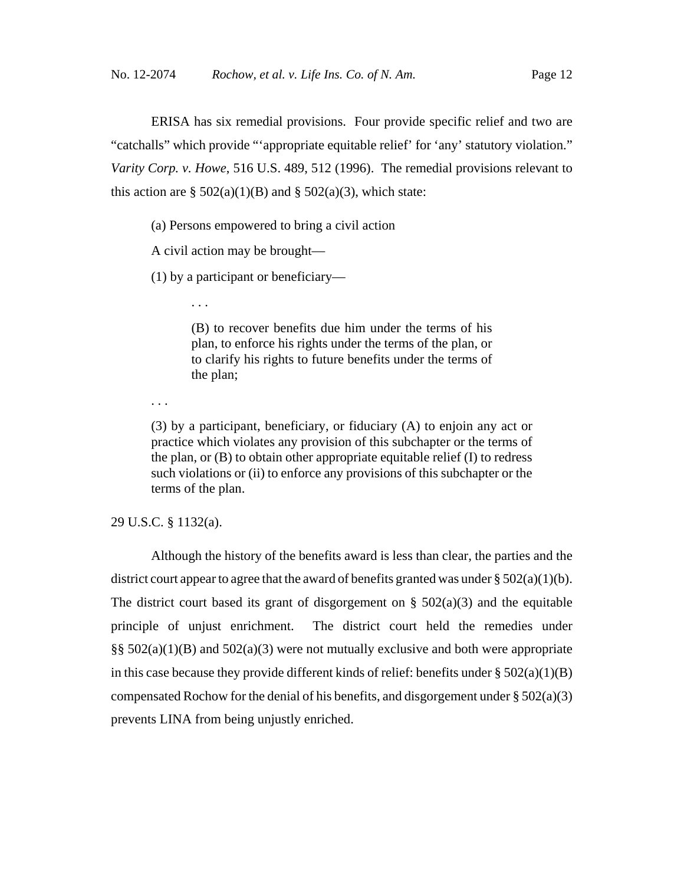ERISA has six remedial provisions. Four provide specific relief and two are "catchalls" which provide "'appropriate equitable relief' for 'any' statutory violation." *Varity Corp. v. Howe*, 516 U.S. 489, 512 (1996). The remedial provisions relevant to this action are  $\S$  502(a)(1)(B) and  $\S$  502(a)(3), which state:

(a) Persons empowered to bring a civil action

A civil action may be brought—

. . .

(1) by a participant or beneficiary—

(B) to recover benefits due him under the terms of his plan, to enforce his rights under the terms of the plan, or to clarify his rights to future benefits under the terms of the plan;

. . .

(3) by a participant, beneficiary, or fiduciary (A) to enjoin any act or practice which violates any provision of this subchapter or the terms of the plan, or (B) to obtain other appropriate equitable relief (I) to redress such violations or (ii) to enforce any provisions of this subchapter or the terms of the plan.

29 U.S.C. § 1132(a).

Although the history of the benefits award is less than clear, the parties and the district court appear to agree that the award of benefits granted was under  $\S 502(a)(1)(b)$ . The district court based its grant of disgorgement on  $\S$  502(a)(3) and the equitable principle of unjust enrichment. The district court held the remedies under §§ 502(a)(1)(B) and 502(a)(3) were not mutually exclusive and both were appropriate in this case because they provide different kinds of relief: benefits under  $\S 502(a)(1)(B)$ compensated Rochow for the denial of his benefits, and disgorgement under  $\S 502(a)(3)$ prevents LINA from being unjustly enriched.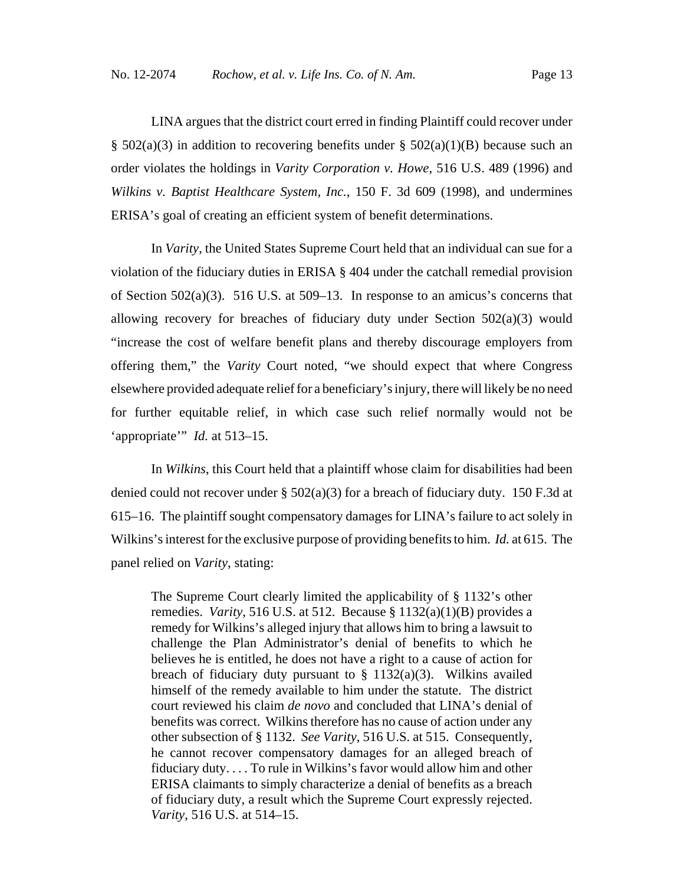LINA argues that the district court erred in finding Plaintiff could recover under §  $502(a)(3)$  in addition to recovering benefits under §  $502(a)(1)(B)$  because such an order violates the holdings in *Varity Corporation v. Howe*, 516 U.S. 489 (1996) and *Wilkins v. Baptist Healthcare System, Inc.*, 150 F. 3d 609 (1998), and undermines ERISA's goal of creating an efficient system of benefit determinations.

In *Varity*, the United States Supreme Court held that an individual can sue for a violation of the fiduciary duties in ERISA § 404 under the catchall remedial provision of Section 502(a)(3). 516 U.S. at 509–13. In response to an amicus's concerns that allowing recovery for breaches of fiduciary duty under Section 502(a)(3) would "increase the cost of welfare benefit plans and thereby discourage employers from offering them," the *Varity* Court noted, "we should expect that where Congress elsewhere provided adequate relief for a beneficiary's injury, there will likely be no need for further equitable relief, in which case such relief normally would not be 'appropriate'" *Id.* at 513–15.

In *Wilkins*, this Court held that a plaintiff whose claim for disabilities had been denied could not recover under  $\S$  502(a)(3) for a breach of fiduciary duty. 150 F.3d at 615–16. The plaintiff sought compensatory damages for LINA's failure to act solely in Wilkins's interest for the exclusive purpose of providing benefits to him. *Id.* at 615. The panel relied on *Varity*, stating:

The Supreme Court clearly limited the applicability of § 1132's other remedies. *Varity*, 516 U.S. at 512. Because § 1132(a)(1)(B) provides a remedy for Wilkins's alleged injury that allows him to bring a lawsuit to challenge the Plan Administrator's denial of benefits to which he believes he is entitled, he does not have a right to a cause of action for breach of fiduciary duty pursuant to  $\S$  1132(a)(3). Wilkins availed himself of the remedy available to him under the statute. The district court reviewed his claim *de novo* and concluded that LINA's denial of benefits was correct. Wilkins therefore has no cause of action under any other subsection of § 1132. *See Varity*, 516 U.S. at 515. Consequently, he cannot recover compensatory damages for an alleged breach of fiduciary duty. . . . To rule in Wilkins's favor would allow him and other ERISA claimants to simply characterize a denial of benefits as a breach of fiduciary duty, a result which the Supreme Court expressly rejected. *Varity*, 516 U.S. at 514–15.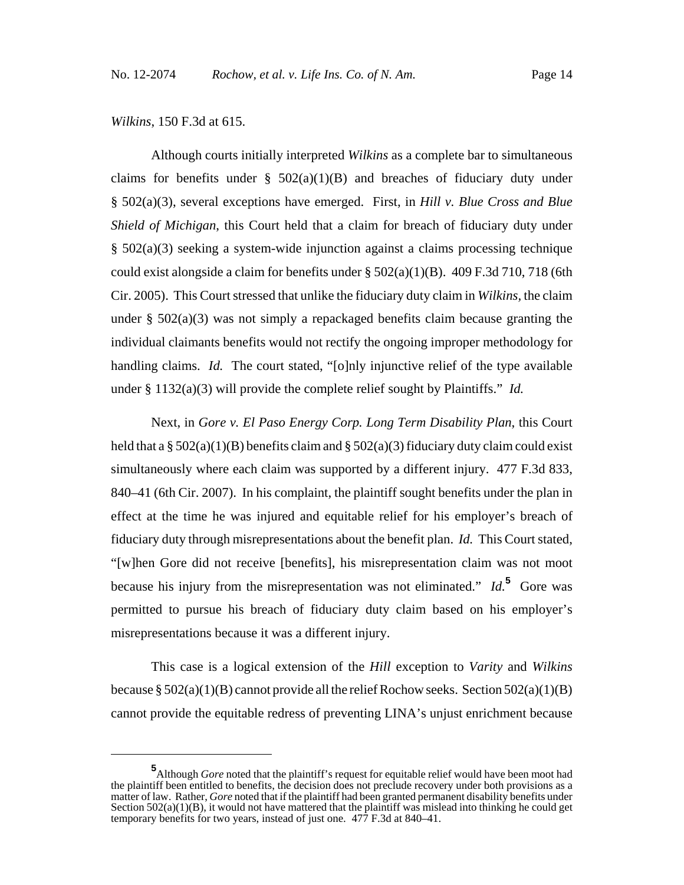*Wilkins*, 150 F.3d at 615.

Although courts initially interpreted *Wilkins* as a complete bar to simultaneous claims for benefits under  $\S$  502(a)(1)(B) and breaches of fiduciary duty under § 502(a)(3), several exceptions have emerged. First, in *Hill v. Blue Cross and Blue Shield of Michigan*, this Court held that a claim for breach of fiduciary duty under § 502(a)(3) seeking a system-wide injunction against a claims processing technique could exist alongside a claim for benefits under  $\S 502(a)(1)(B)$ . 409 F.3d 710, 718 (6th Cir. 2005). This Court stressed that unlike the fiduciary duty claim in *Wilkins,* the claim under  $\S$  502(a)(3) was not simply a repackaged benefits claim because granting the individual claimants benefits would not rectify the ongoing improper methodology for handling claims. *Id.* The court stated, "[o]nly injunctive relief of the type available under § 1132(a)(3) will provide the complete relief sought by Plaintiffs." *Id.*

Next, in *Gore v. El Paso Energy Corp. Long Term Disability Plan*, this Court held that a  $\S 502(a)(1)(B)$  benefits claim and  $\S 502(a)(3)$  fiduciary duty claim could exist simultaneously where each claim was supported by a different injury. 477 F.3d 833, 840–41 (6th Cir. 2007). In his complaint, the plaintiff sought benefits under the plan in effect at the time he was injured and equitable relief for his employer's breach of fiduciary duty through misrepresentations about the benefit plan. *Id.* This Court stated, "[w]hen Gore did not receive [benefits], his misrepresentation claim was not moot because his injury from the misrepresentation was not eliminated." *Id.***<sup>5</sup>** Gore was permitted to pursue his breach of fiduciary duty claim based on his employer's misrepresentations because it was a different injury.

This case is a logical extension of the *Hill* exception to *Varity* and *Wilkins* because §  $502(a)(1)(B)$  cannot provide all the relief Rochow seeks. Section  $502(a)(1)(B)$ cannot provide the equitable redress of preventing LINA's unjust enrichment because

**<sup>5</sup>** Although *Gore* noted that the plaintiff's request for equitable relief would have been moot had the plaintiff been entitled to benefits, the decision does not preclude recovery under both provisions as a matter of law. Rather, *Gore* noted that if the plaintiff had been granted permanent disability benefits under Section  $502(a)(1)(B)$ , it would not have mattered that the plaintiff was mislead into thinking he could get temporary benefits for two years, instead of just one. 477 F.3d at 840–41.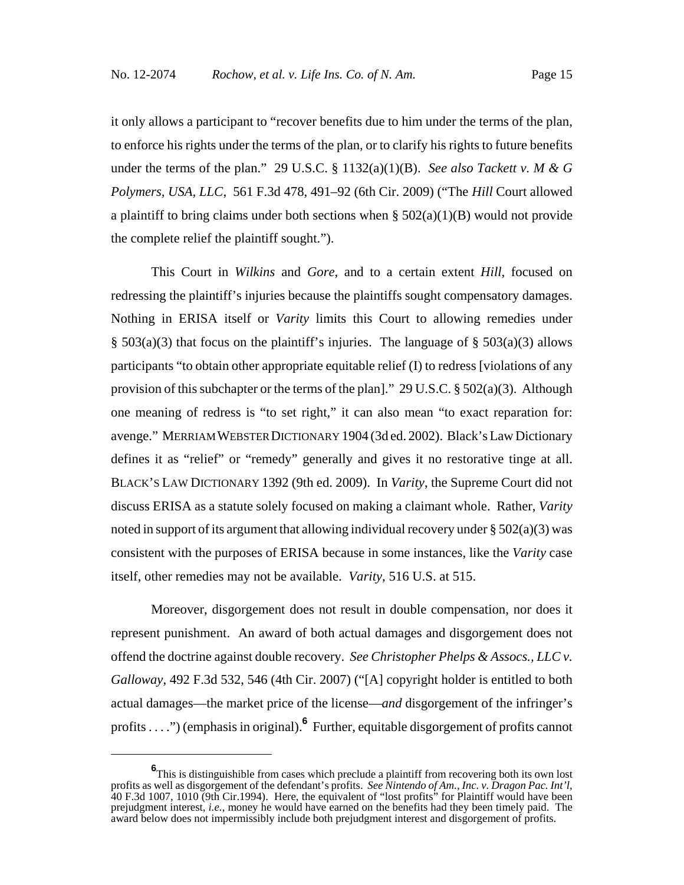it only allows a participant to "recover benefits due to him under the terms of the plan, to enforce his rights under the terms of the plan, or to clarify his rights to future benefits under the terms of the plan." 29 U.S.C. § 1132(a)(1)(B). *See also Tackett v. M & G Polymers, USA, LLC*, 561 F.3d 478, 491–92 (6th Cir. 2009) ("The *Hill* Court allowed a plaintiff to bring claims under both sections when  $\S 502(a)(1)(B)$  would not provide the complete relief the plaintiff sought.").

This Court in *Wilkins* and *Gore*, and to a certain extent *Hill*, focused on redressing the plaintiff's injuries because the plaintiffs sought compensatory damages. Nothing in ERISA itself or *Varity* limits this Court to allowing remedies under  $\S$  503(a)(3) that focus on the plaintiff's injuries. The language of  $\S$  503(a)(3) allows participants "to obtain other appropriate equitable relief (I) to redress [violations of any provision of this subchapter or the terms of the plan]." 29 U.S.C. § 502(a)(3). Although one meaning of redress is "to set right," it can also mean "to exact reparation for: avenge." MERRIAM WEBSTER DICTIONARY 1904 (3d ed. 2002). Black's Law Dictionary defines it as "relief" or "remedy" generally and gives it no restorative tinge at all. BLACK'S LAW DICTIONARY 1392 (9th ed. 2009). In *Varity*, the Supreme Court did not discuss ERISA as a statute solely focused on making a claimant whole. Rather, *Varity* noted in support of its argument that allowing individual recovery under  $\S 502(a)(3)$  was consistent with the purposes of ERISA because in some instances, like the *Varity* case itself, other remedies may not be available. *Varity*, 516 U.S. at 515.

Moreover, disgorgement does not result in double compensation, nor does it represent punishment. An award of both actual damages and disgorgement does not offend the doctrine against double recovery. *See Christopher Phelps & Assocs., LLC v. Galloway*, 492 F.3d 532, 546 (4th Cir. 2007) ("[A] copyright holder is entitled to both actual damages—the market price of the license—*and* disgorgement of the infringer's profits . . . .") (emphasis in original).**<sup>6</sup>** Further, equitable disgorgement of profits cannot

**<sup>6</sup>** This is distinguishible from cases which preclude a plaintiff from recovering both its own lost profits as well as disgorgement of the defendant's profits. *See Nintendo of Am., Inc. v. Dragon Pac. Int'l*, 40 F.3d 1007, 1010 (9th Cir.1994). Here, the equivalent of "lost profits" for Plaintiff would have been prejudgment interest, *i.e.*, money he would have earned on the benefits had they been timely paid. The award below does not impermissibly include both prejudgment interest and disgorgement of profits.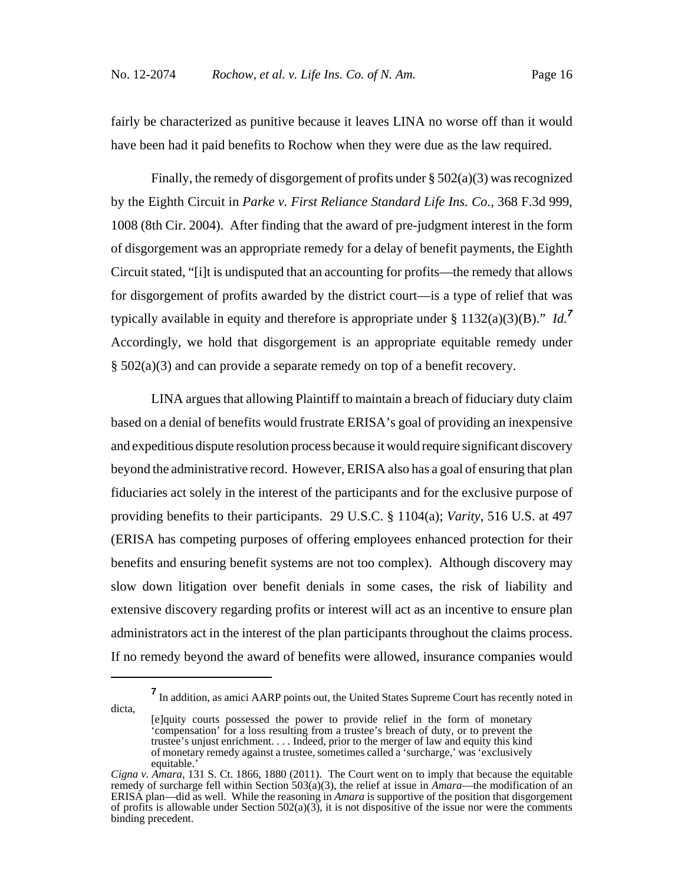fairly be characterized as punitive because it leaves LINA no worse off than it would have been had it paid benefits to Rochow when they were due as the law required.

Finally, the remedy of disgorgement of profits under  $\S 502(a)(3)$  was recognized by the Eighth Circuit in *Parke v. First Reliance Standard Life Ins. Co.*, 368 F.3d 999, 1008 (8th Cir. 2004). After finding that the award of pre-judgment interest in the form of disgorgement was an appropriate remedy for a delay of benefit payments, the Eighth Circuit stated, "[i]t is undisputed that an accounting for profits—the remedy that allows for disgorgement of profits awarded by the district court—is a type of relief that was typically available in equity and therefore is appropriate under § 1132(a)(3)(B)." *Id.<sup>7</sup>* Accordingly, we hold that disgorgement is an appropriate equitable remedy under § 502(a)(3) and can provide a separate remedy on top of a benefit recovery.

LINA argues that allowing Plaintiff to maintain a breach of fiduciary duty claim based on a denial of benefits would frustrate ERISA's goal of providing an inexpensive and expeditious dispute resolution process because it would require significant discovery beyond the administrative record. However, ERISA also has a goal of ensuring that plan fiduciaries act solely in the interest of the participants and for the exclusive purpose of providing benefits to their participants. 29 U.S.C. § 1104(a); *Varity*, 516 U.S. at 497 (ERISA has competing purposes of offering employees enhanced protection for their benefits and ensuring benefit systems are not too complex). Although discovery may slow down litigation over benefit denials in some cases, the risk of liability and extensive discovery regarding profits or interest will act as an incentive to ensure plan administrators act in the interest of the plan participants throughout the claims process. If no remedy beyond the award of benefits were allowed, insurance companies would

**<sup>7</sup>** In addition, as amici AARP points out, the United States Supreme Court has recently noted in

dicta,

<sup>[</sup>e]quity courts possessed the power to provide relief in the form of monetary 'compensation' for a loss resulting from a trustee's breach of duty, or to prevent the trustee's unjust enrichment. . . . Indeed, prior to the merger of law and equity this kind of monetary remedy against a trustee, sometimes called a 'surcharge,' was 'exclusively equitable.'

*Cigna v. Amara*, 131 S. Ct. 1866, 1880 (2011). The Court went on to imply that because the equitable remedy of surcharge fell within Section 503(a)(3), the relief at issue in *Amara*—the modification of an ERISA plan—did as well. While the reasoning in *Amara* is supportive of the position that disgorgement of profits is allowable under Section 502(a)(3), it is not dispositive of the issue nor were the comments binding precedent.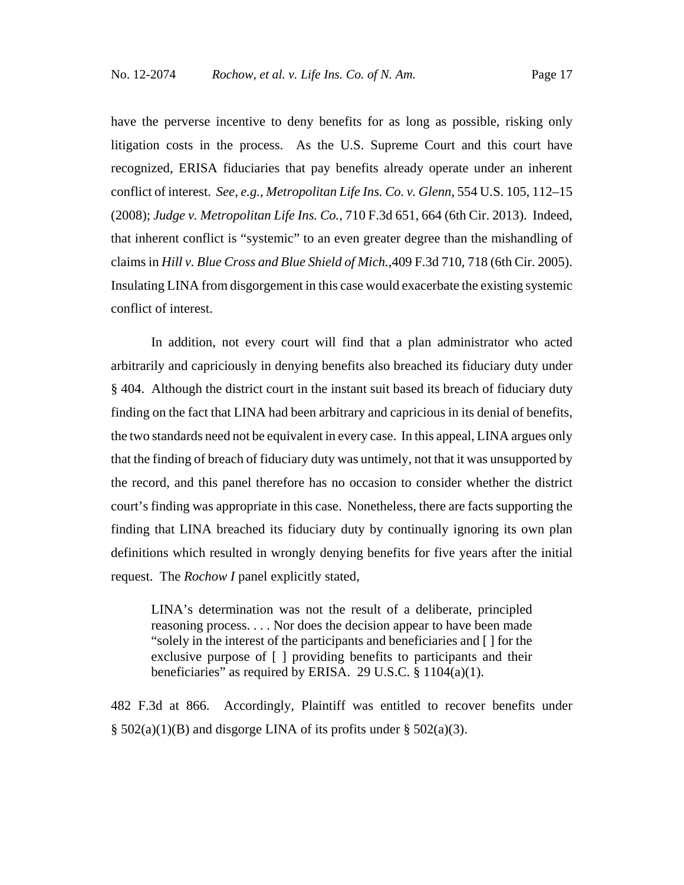have the perverse incentive to deny benefits for as long as possible, risking only litigation costs in the process. As the U.S. Supreme Court and this court have recognized, ERISA fiduciaries that pay benefits already operate under an inherent conflict of interest. *See, e.g.*, *Metropolitan Life Ins. Co. v. Glenn*, 554 U.S. 105, 112–15 (2008); *Judge v. Metropolitan Life Ins. Co.*, 710 F.3d 651, 664 (6th Cir. 2013). Indeed, that inherent conflict is "systemic" to an even greater degree than the mishandling of claims in *Hill v. Blue Cross and Blue Shield of Mich.*,409 F.3d 710, 718 (6th Cir. 2005). Insulating LINA from disgorgement in this case would exacerbate the existing systemic conflict of interest.

In addition, not every court will find that a plan administrator who acted arbitrarily and capriciously in denying benefits also breached its fiduciary duty under § 404. Although the district court in the instant suit based its breach of fiduciary duty finding on the fact that LINA had been arbitrary and capricious in its denial of benefits, the two standards need not be equivalent in every case. In this appeal, LINA argues only that the finding of breach of fiduciary duty was untimely, not that it was unsupported by the record, and this panel therefore has no occasion to consider whether the district court's finding was appropriate in this case. Nonetheless, there are facts supporting the finding that LINA breached its fiduciary duty by continually ignoring its own plan definitions which resulted in wrongly denying benefits for five years after the initial request. The *Rochow I* panel explicitly stated,

LINA's determination was not the result of a deliberate, principled reasoning process. . . . Nor does the decision appear to have been made "solely in the interest of the participants and beneficiaries and [ ] for the exclusive purpose of [ ] providing benefits to participants and their beneficiaries" as required by ERISA. 29 U.S.C.  $\S 1104(a)(1)$ .

482 F.3d at 866. Accordingly, Plaintiff was entitled to recover benefits under  $\S$  502(a)(1)(B) and disgorge LINA of its profits under  $\S$  502(a)(3).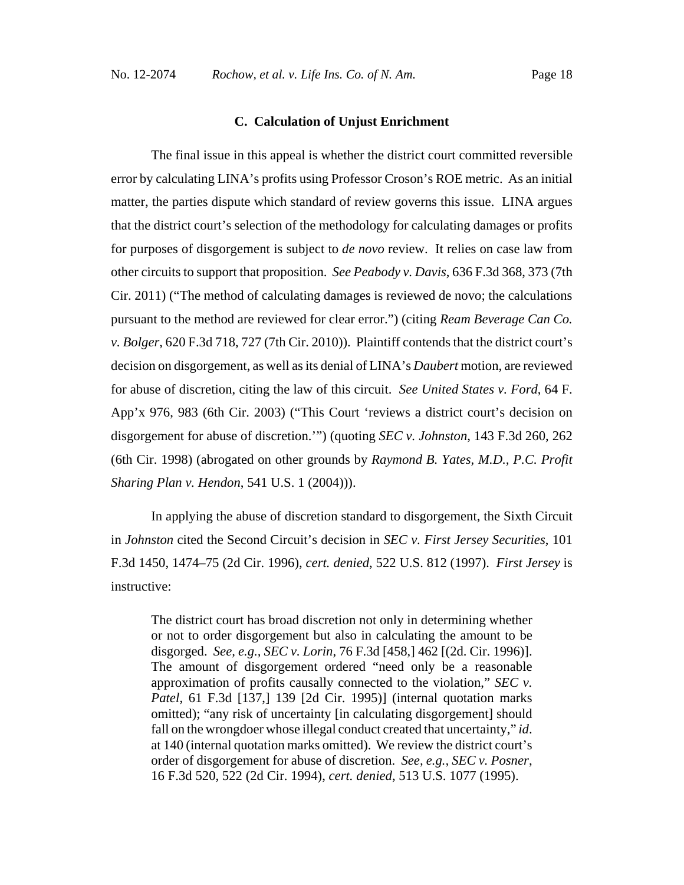#### **C. Calculation of Unjust Enrichment**

The final issue in this appeal is whether the district court committed reversible error by calculating LINA's profits using Professor Croson's ROE metric. As an initial matter, the parties dispute which standard of review governs this issue. LINA argues that the district court's selection of the methodology for calculating damages or profits for purposes of disgorgement is subject to *de novo* review. It relies on case law from other circuits to support that proposition. *See Peabody v. Davis*, 636 F.3d 368, 373 (7th Cir. 2011) ("The method of calculating damages is reviewed de novo; the calculations pursuant to the method are reviewed for clear error.") (citing *Ream Beverage Can Co. v. Bolger*, 620 F.3d 718, 727 (7th Cir. 2010)). Plaintiff contends that the district court's decision on disgorgement, as well as its denial of LINA's *Daubert* motion, are reviewed for abuse of discretion, citing the law of this circuit. *See United States v. Ford*, 64 F. App'x 976, 983 (6th Cir. 2003) ("This Court 'reviews a district court's decision on disgorgement for abuse of discretion.'") (quoting *SEC v. Johnston*, 143 F.3d 260, 262 (6th Cir. 1998) (abrogated on other grounds by *Raymond B. Yates, M.D., P.C. Profit Sharing Plan v. Hendon*, 541 U.S. 1 (2004))).

In applying the abuse of discretion standard to disgorgement, the Sixth Circuit in *Johnston* cited the Second Circuit's decision in *SEC v. First Jersey Securities*, 101 F.3d 1450, 1474–75 (2d Cir. 1996), *cert. denied*, 522 U.S. 812 (1997). *First Jersey* is instructive:

The district court has broad discretion not only in determining whether or not to order disgorgement but also in calculating the amount to be disgorged. *See, e.g., SEC v. Lorin*, 76 F.3d [458,] 462 [(2d. Cir. 1996)]. The amount of disgorgement ordered "need only be a reasonable approximation of profits causally connected to the violation," *SEC v. Patel*, 61 F.3d [137,] 139 [2d Cir. 1995)] (internal quotation marks omitted); "any risk of uncertainty [in calculating disgorgement] should fall on the wrongdoer whose illegal conduct created that uncertainty," *id*. at 140 (internal quotation marks omitted). We review the district court's order of disgorgement for abuse of discretion. *See, e.g., SEC v. Posner*, 16 F.3d 520, 522 (2d Cir. 1994), *cert. denied*, 513 U.S. 1077 (1995).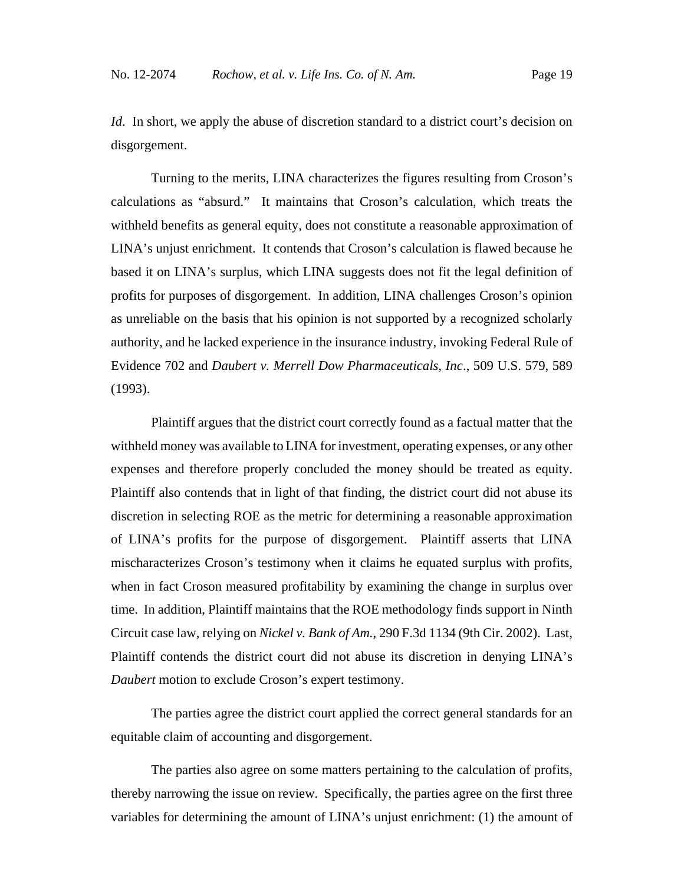*Id*. In short, we apply the abuse of discretion standard to a district court's decision on disgorgement.

Turning to the merits, LINA characterizes the figures resulting from Croson's calculations as "absurd." It maintains that Croson's calculation, which treats the withheld benefits as general equity, does not constitute a reasonable approximation of LINA's unjust enrichment. It contends that Croson's calculation is flawed because he based it on LINA's surplus, which LINA suggests does not fit the legal definition of profits for purposes of disgorgement. In addition, LINA challenges Croson's opinion as unreliable on the basis that his opinion is not supported by a recognized scholarly authority, and he lacked experience in the insurance industry, invoking Federal Rule of Evidence 702 and *Daubert v. Merrell Dow Pharmaceuticals, Inc*., 509 U.S. 579, 589 (1993).

Plaintiff argues that the district court correctly found as a factual matter that the withheld money was available to LINA for investment, operating expenses, or any other expenses and therefore properly concluded the money should be treated as equity. Plaintiff also contends that in light of that finding, the district court did not abuse its discretion in selecting ROE as the metric for determining a reasonable approximation of LINA's profits for the purpose of disgorgement. Plaintiff asserts that LINA mischaracterizes Croson's testimony when it claims he equated surplus with profits, when in fact Croson measured profitability by examining the change in surplus over time. In addition, Plaintiff maintains that the ROE methodology finds support in Ninth Circuit case law, relying on *Nickel v. Bank of Am.*, 290 F.3d 1134 (9th Cir. 2002). Last, Plaintiff contends the district court did not abuse its discretion in denying LINA's *Daubert* motion to exclude Croson's expert testimony.

The parties agree the district court applied the correct general standards for an equitable claim of accounting and disgorgement.

The parties also agree on some matters pertaining to the calculation of profits, thereby narrowing the issue on review. Specifically, the parties agree on the first three variables for determining the amount of LINA's unjust enrichment: (1) the amount of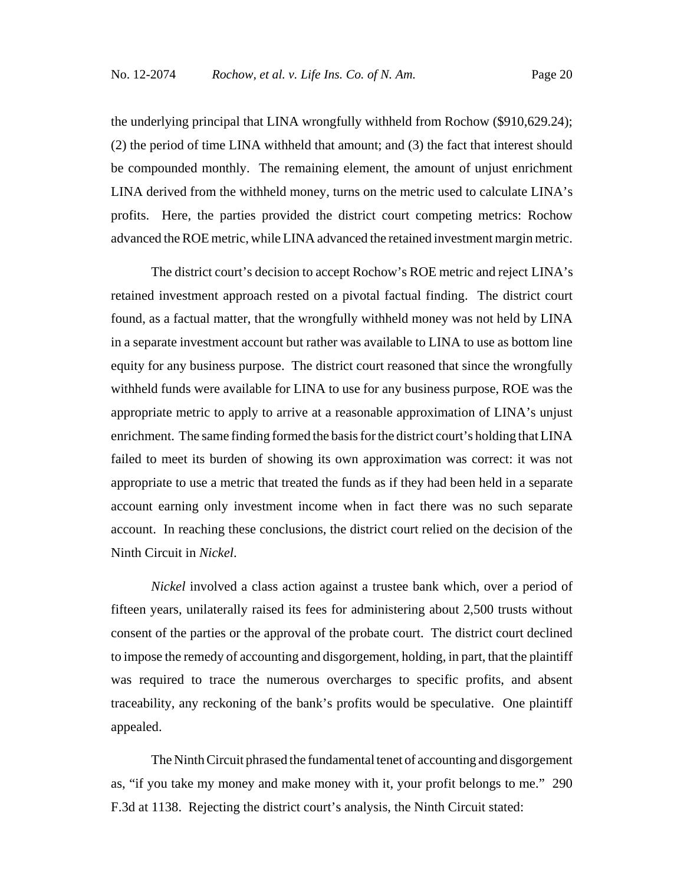the underlying principal that LINA wrongfully withheld from Rochow (\$910,629.24); (2) the period of time LINA withheld that amount; and (3) the fact that interest should be compounded monthly. The remaining element, the amount of unjust enrichment LINA derived from the withheld money, turns on the metric used to calculate LINA's profits. Here, the parties provided the district court competing metrics: Rochow advanced the ROE metric, while LINA advanced the retained investment margin metric.

 The district court's decision to accept Rochow's ROE metric and reject LINA's retained investment approach rested on a pivotal factual finding. The district court found, as a factual matter, that the wrongfully withheld money was not held by LINA in a separate investment account but rather was available to LINA to use as bottom line equity for any business purpose. The district court reasoned that since the wrongfully withheld funds were available for LINA to use for any business purpose, ROE was the appropriate metric to apply to arrive at a reasonable approximation of LINA's unjust enrichment. The same finding formed the basis for the district court's holding that LINA failed to meet its burden of showing its own approximation was correct: it was not appropriate to use a metric that treated the funds as if they had been held in a separate account earning only investment income when in fact there was no such separate account. In reaching these conclusions, the district court relied on the decision of the Ninth Circuit in *Nickel*.

*Nickel* involved a class action against a trustee bank which, over a period of fifteen years, unilaterally raised its fees for administering about 2,500 trusts without consent of the parties or the approval of the probate court. The district court declined to impose the remedy of accounting and disgorgement, holding, in part, that the plaintiff was required to trace the numerous overcharges to specific profits, and absent traceability, any reckoning of the bank's profits would be speculative. One plaintiff appealed.

The Ninth Circuit phrased the fundamental tenet of accounting and disgorgement as, "if you take my money and make money with it, your profit belongs to me." 290 F.3d at 1138. Rejecting the district court's analysis, the Ninth Circuit stated: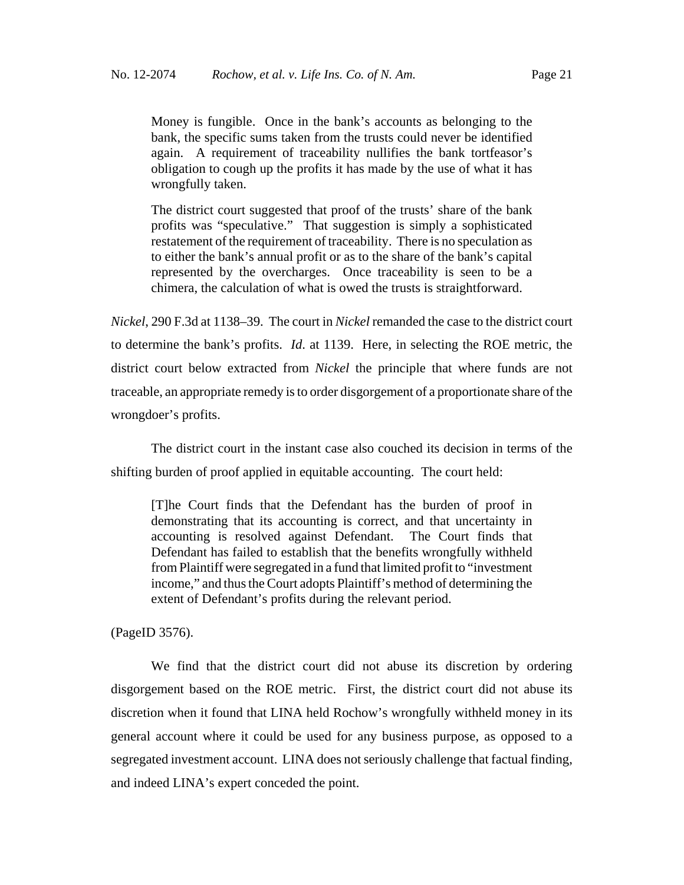Money is fungible. Once in the bank's accounts as belonging to the bank, the specific sums taken from the trusts could never be identified again. A requirement of traceability nullifies the bank tortfeasor's obligation to cough up the profits it has made by the use of what it has wrongfully taken.

The district court suggested that proof of the trusts' share of the bank profits was "speculative." That suggestion is simply a sophisticated restatement of the requirement of traceability. There is no speculation as to either the bank's annual profit or as to the share of the bank's capital represented by the overcharges. Once traceability is seen to be a chimera, the calculation of what is owed the trusts is straightforward.

*Nickel*, 290 F.3d at 1138–39. The court in *Nickel* remanded the case to the district court to determine the bank's profits. *Id*. at 1139. Here, in selecting the ROE metric, the district court below extracted from *Nickel* the principle that where funds are not traceable, an appropriate remedy is to order disgorgement of a proportionate share of the wrongdoer's profits.

The district court in the instant case also couched its decision in terms of the shifting burden of proof applied in equitable accounting. The court held:

[T]he Court finds that the Defendant has the burden of proof in demonstrating that its accounting is correct, and that uncertainty in accounting is resolved against Defendant. The Court finds that Defendant has failed to establish that the benefits wrongfully withheld from Plaintiff were segregated in a fund that limited profit to "investment income," and thus the Court adopts Plaintiff's method of determining the extent of Defendant's profits during the relevant period.

(PageID 3576).

We find that the district court did not abuse its discretion by ordering disgorgement based on the ROE metric. First, the district court did not abuse its discretion when it found that LINA held Rochow's wrongfully withheld money in its general account where it could be used for any business purpose, as opposed to a segregated investment account. LINA does not seriously challenge that factual finding, and indeed LINA's expert conceded the point.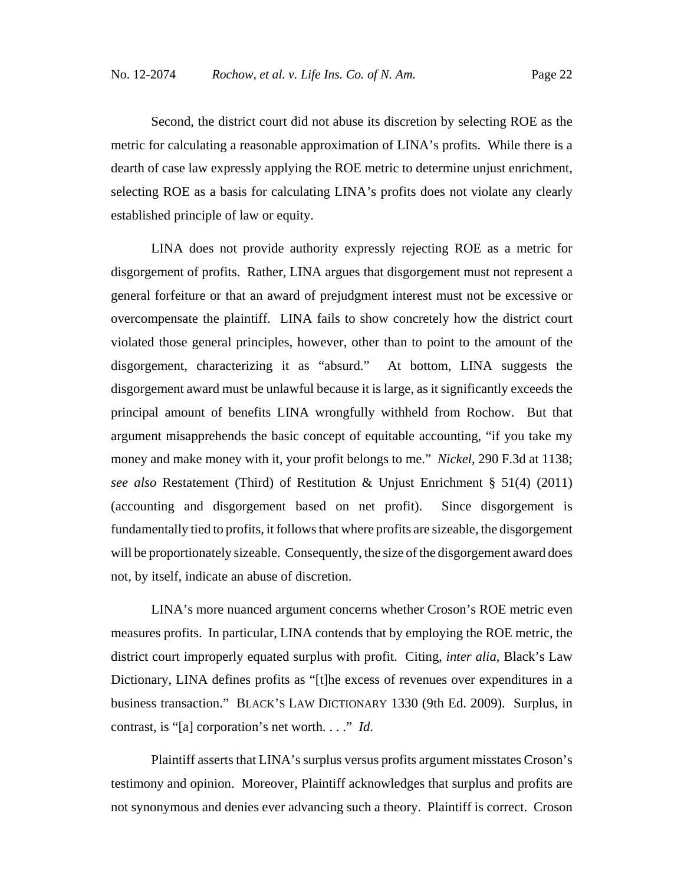Second, the district court did not abuse its discretion by selecting ROE as the metric for calculating a reasonable approximation of LINA's profits. While there is a dearth of case law expressly applying the ROE metric to determine unjust enrichment, selecting ROE as a basis for calculating LINA's profits does not violate any clearly established principle of law or equity.

LINA does not provide authority expressly rejecting ROE as a metric for disgorgement of profits. Rather, LINA argues that disgorgement must not represent a general forfeiture or that an award of prejudgment interest must not be excessive or overcompensate the plaintiff. LINA fails to show concretely how the district court violated those general principles, however, other than to point to the amount of the disgorgement, characterizing it as "absurd." At bottom, LINA suggests the disgorgement award must be unlawful because it is large, as it significantly exceeds the principal amount of benefits LINA wrongfully withheld from Rochow. But that argument misapprehends the basic concept of equitable accounting, "if you take my money and make money with it, your profit belongs to me." *Nickel*, 290 F.3d at 1138; *see also* Restatement (Third) of Restitution & Unjust Enrichment § 51(4) (2011) (accounting and disgorgement based on net profit). Since disgorgement is fundamentally tied to profits, it follows that where profits are sizeable, the disgorgement will be proportionately sizeable. Consequently, the size of the disgorgement award does not, by itself, indicate an abuse of discretion.

LINA's more nuanced argument concerns whether Croson's ROE metric even measures profits. In particular, LINA contends that by employing the ROE metric, the district court improperly equated surplus with profit. Citing, *inter alia*, Black's Law Dictionary, LINA defines profits as "[t]he excess of revenues over expenditures in a business transaction." BLACK'S LAW DICTIONARY 1330 (9th Ed. 2009). Surplus, in contrast, is "[a] corporation's net worth. . . ." *Id*.

Plaintiff asserts that LINA's surplus versus profits argument misstates Croson's testimony and opinion. Moreover, Plaintiff acknowledges that surplus and profits are not synonymous and denies ever advancing such a theory. Plaintiff is correct. Croson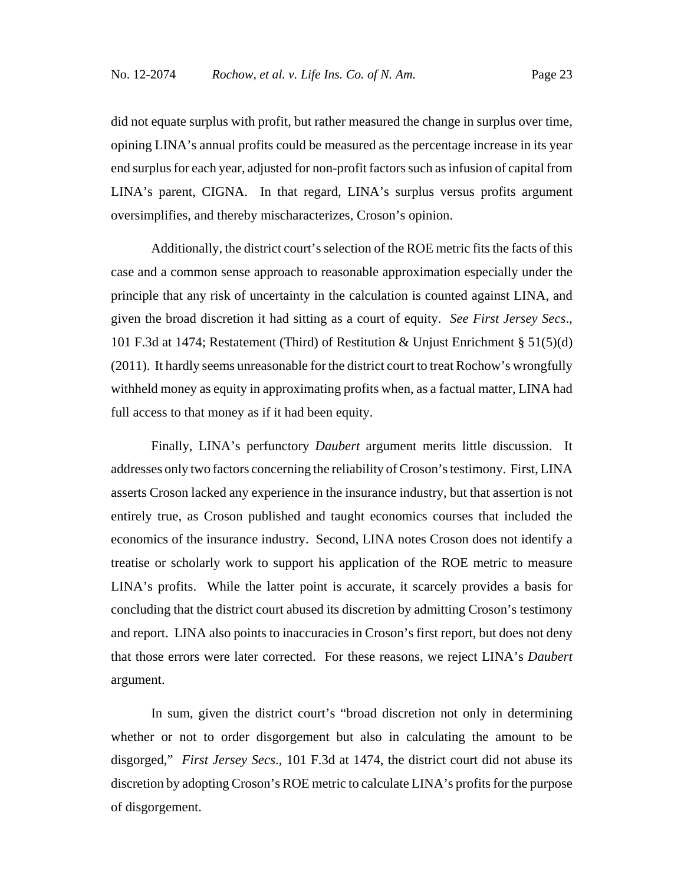did not equate surplus with profit, but rather measured the change in surplus over time, opining LINA's annual profits could be measured as the percentage increase in its year end surplus for each year, adjusted for non-profit factors such as infusion of capital from LINA's parent, CIGNA. In that regard, LINA's surplus versus profits argument oversimplifies, and thereby mischaracterizes, Croson's opinion.

Additionally, the district court's selection of the ROE metric fits the facts of this case and a common sense approach to reasonable approximation especially under the principle that any risk of uncertainty in the calculation is counted against LINA, and given the broad discretion it had sitting as a court of equity. *See First Jersey Secs*., 101 F.3d at 1474; Restatement (Third) of Restitution & Unjust Enrichment § 51(5)(d) (2011). It hardly seems unreasonable for the district court to treat Rochow's wrongfully withheld money as equity in approximating profits when, as a factual matter, LINA had full access to that money as if it had been equity.

Finally, LINA's perfunctory *Daubert* argument merits little discussion. It addresses only two factors concerning the reliability of Croson's testimony. First, LINA asserts Croson lacked any experience in the insurance industry, but that assertion is not entirely true, as Croson published and taught economics courses that included the economics of the insurance industry. Second, LINA notes Croson does not identify a treatise or scholarly work to support his application of the ROE metric to measure LINA's profits. While the latter point is accurate, it scarcely provides a basis for concluding that the district court abused its discretion by admitting Croson's testimony and report. LINA also points to inaccuracies in Croson's first report, but does not deny that those errors were later corrected. For these reasons, we reject LINA's *Daubert* argument.

In sum, given the district court's "broad discretion not only in determining whether or not to order disgorgement but also in calculating the amount to be disgorged," *First Jersey Secs*., 101 F.3d at 1474, the district court did not abuse its discretion by adopting Croson's ROE metric to calculate LINA's profits for the purpose of disgorgement.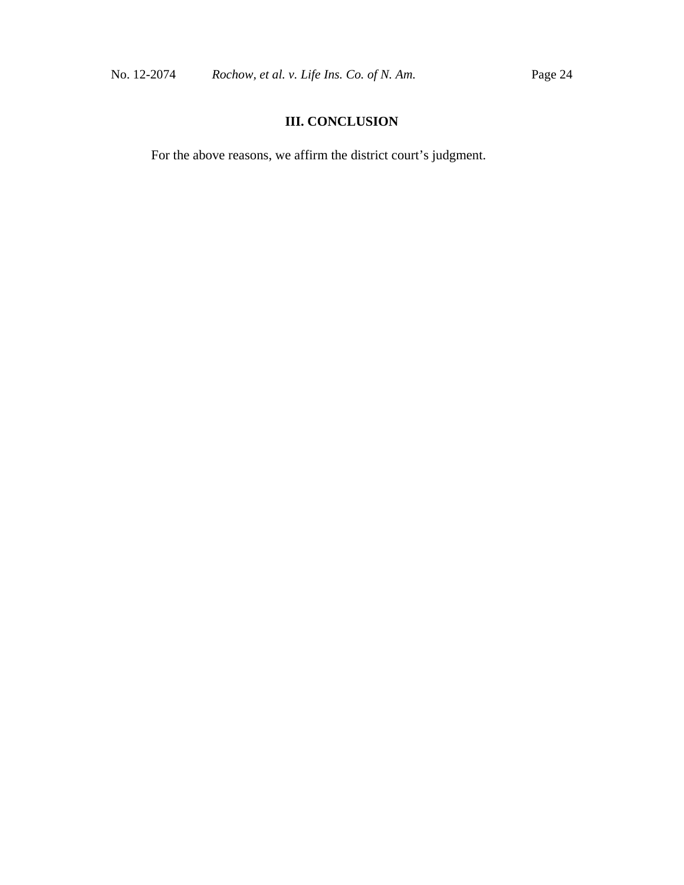## **III. CONCLUSION**

For the above reasons, we affirm the district court's judgment.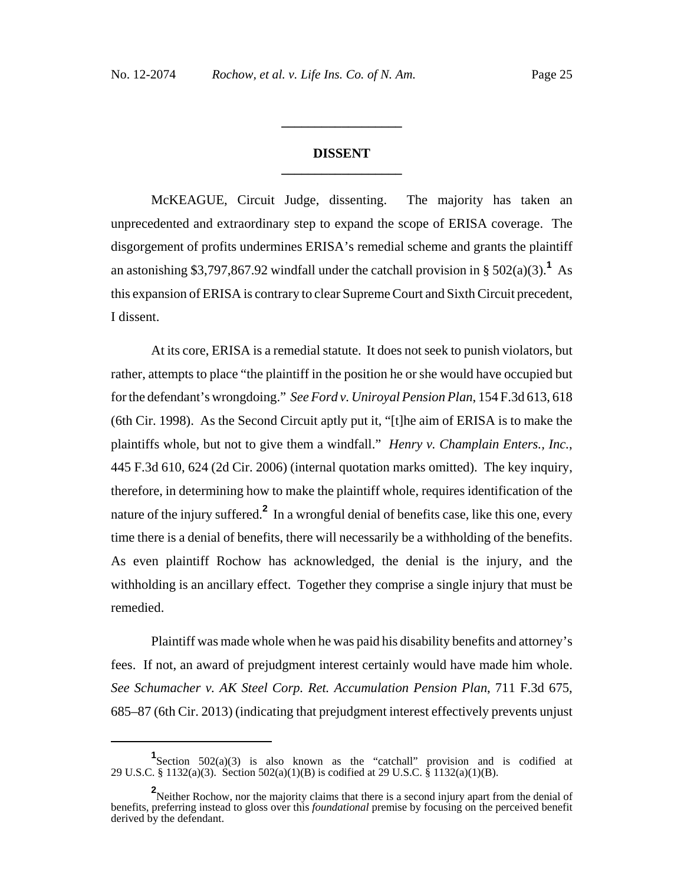### **DISSENT \_\_\_\_\_\_\_\_\_\_\_\_\_\_\_\_\_\_**

**\_\_\_\_\_\_\_\_\_\_\_\_\_\_\_\_\_\_**

McKEAGUE, Circuit Judge, dissenting. The majority has taken an unprecedented and extraordinary step to expand the scope of ERISA coverage. The disgorgement of profits undermines ERISA's remedial scheme and grants the plaintiff an astonishing \$3,797,867.92 windfall under the catchall provision in  $\S 502(a)(3)$ .<sup>1</sup> As this expansion of ERISA is contrary to clear Supreme Court and Sixth Circuit precedent, I dissent.

At its core, ERISA is a remedial statute. It does not seek to punish violators, but rather, attempts to place "the plaintiff in the position he or she would have occupied but for the defendant's wrongdoing." *See Ford v. Uniroyal Pension Plan*, 154 F.3d 613, 618 (6th Cir. 1998). As the Second Circuit aptly put it, "[t]he aim of ERISA is to make the plaintiffs whole, but not to give them a windfall." *Henry v. Champlain Enters., Inc.*, 445 F.3d 610, 624 (2d Cir. 2006) (internal quotation marks omitted). The key inquiry, therefore, in determining how to make the plaintiff whole, requires identification of the nature of the injury suffered.**<sup>2</sup>** In a wrongful denial of benefits case, like this one, every time there is a denial of benefits, there will necessarily be a withholding of the benefits. As even plaintiff Rochow has acknowledged, the denial is the injury, and the withholding is an ancillary effect. Together they comprise a single injury that must be remedied.

Plaintiff was made whole when he was paid his disability benefits and attorney's fees. If not, an award of prejudgment interest certainly would have made him whole. *See Schumacher v. AK Steel Corp. Ret. Accumulation Pension Plan*, 711 F.3d 675, 685–87 (6th Cir. 2013) (indicating that prejudgment interest effectively prevents unjust

**<sup>1</sup>** Section 502(a)(3) is also known as the "catchall" provision and is codified at 29 U.S.C. § 1132(a)(3). Section 502(a)(1)(B) is codified at 29 U.S.C. § 1132(a)(1)(B).

<sup>&</sup>lt;sup>2</sup> Neither Rochow, nor the majority claims that there is a second injury apart from the denial of benefits, preferring instead to gloss over this *foundational* premise by focusing on the perceived benefit derived by the defendant.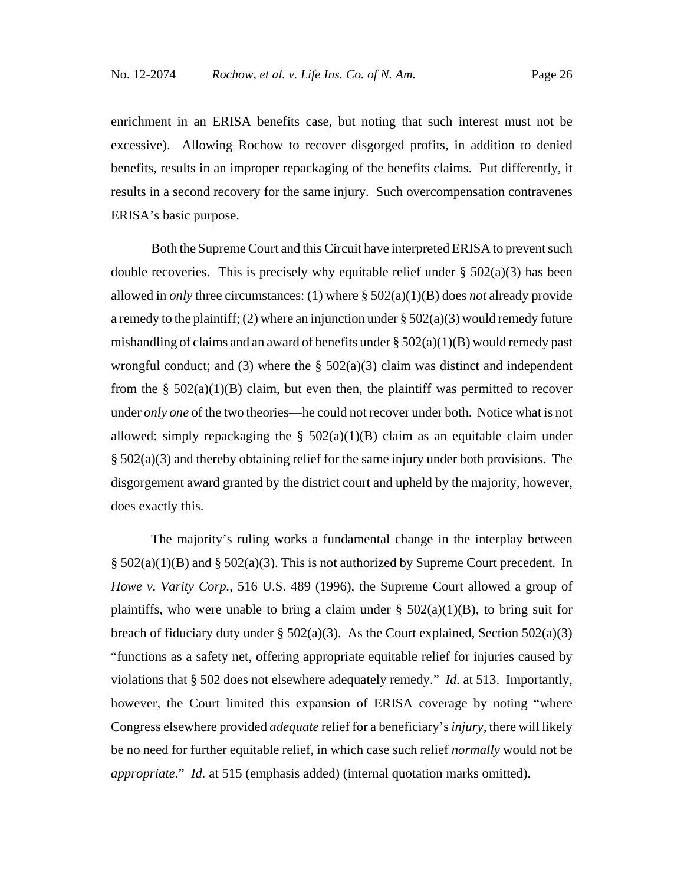enrichment in an ERISA benefits case, but noting that such interest must not be excessive). Allowing Rochow to recover disgorged profits, in addition to denied benefits, results in an improper repackaging of the benefits claims. Put differently, it results in a second recovery for the same injury. Such overcompensation contravenes ERISA's basic purpose.

Both the Supreme Court and this Circuit have interpreted ERISA to prevent such double recoveries. This is precisely why equitable relief under  $\S 502(a)(3)$  has been allowed in *only* three circumstances: (1) where § 502(a)(1)(B) does *not* already provide a remedy to the plaintiff; (2) where an injunction under  $\S 502(a)(3)$  would remedy future mishandling of claims and an award of benefits under  $\S 502(a)(1)(B)$  would remedy past wrongful conduct; and (3) where the  $\S$  502(a)(3) claim was distinct and independent from the §  $502(a)(1)(B)$  claim, but even then, the plaintiff was permitted to recover under *only one* of the two theories—he could not recover under both. Notice what is not allowed: simply repackaging the  $\S$  502(a)(1)(B) claim as an equitable claim under § 502(a)(3) and thereby obtaining relief for the same injury under both provisions. The disgorgement award granted by the district court and upheld by the majority, however, does exactly this.

The majority's ruling works a fundamental change in the interplay between  $\S$  502(a)(1)(B) and  $\S$  502(a)(3). This is not authorized by Supreme Court precedent. In *Howe v. Varity Corp.*, 516 U.S. 489 (1996), the Supreme Court allowed a group of plaintiffs, who were unable to bring a claim under §  $502(a)(1)(B)$ , to bring suit for breach of fiduciary duty under  $\S$  502(a)(3). As the Court explained, Section 502(a)(3) "functions as a safety net, offering appropriate equitable relief for injuries caused by violations that § 502 does not elsewhere adequately remedy." *Id.* at 513. Importantly, however, the Court limited this expansion of ERISA coverage by noting "where Congress elsewhere provided *adequate* relief for a beneficiary's *injury*, there will likely be no need for further equitable relief, in which case such relief *normally* would not be *appropriate*." *Id.* at 515 (emphasis added) (internal quotation marks omitted).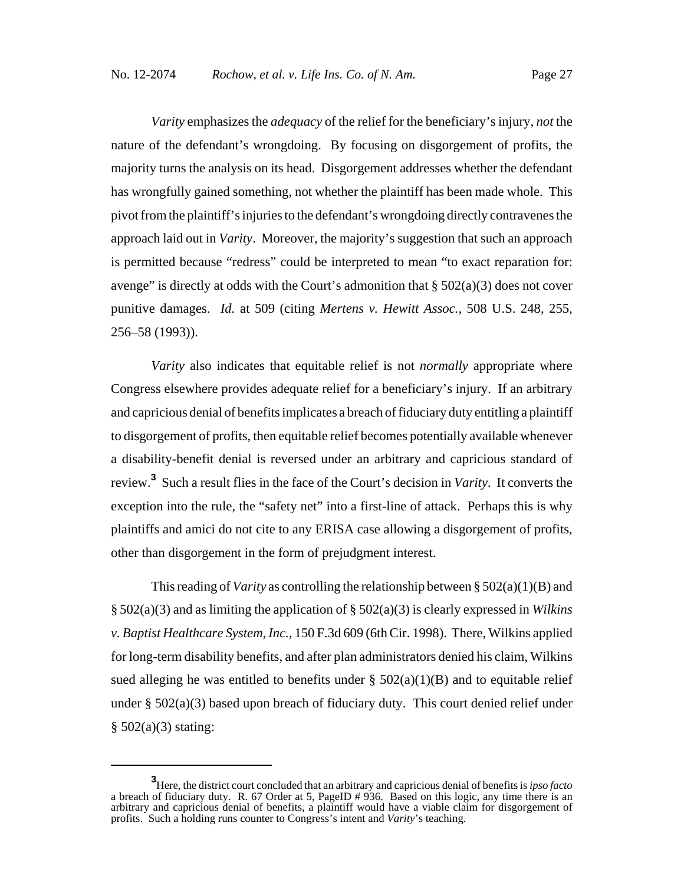*Varity* emphasizes the *adequacy* of the relief for the beneficiary's injury, *not* the nature of the defendant's wrongdoing. By focusing on disgorgement of profits, the majority turns the analysis on its head. Disgorgement addresses whether the defendant has wrongfully gained something, not whether the plaintiff has been made whole. This pivot from the plaintiff's injuries to the defendant's wrongdoing directly contravenes the approach laid out in *Varity*. Moreover, the majority's suggestion that such an approach is permitted because "redress" could be interpreted to mean "to exact reparation for: avenge" is directly at odds with the Court's admonition that  $\S 502(a)(3)$  does not cover punitive damages. *Id.* at 509 (citing *Mertens v. Hewitt Assoc.*, 508 U.S. 248, 255, 256–58 (1993)).

*Varity* also indicates that equitable relief is not *normally* appropriate where Congress elsewhere provides adequate relief for a beneficiary's injury. If an arbitrary and capricious denial of benefits implicates a breach of fiduciary duty entitling a plaintiff to disgorgement of profits, then equitable relief becomes potentially available whenever a disability-benefit denial is reversed under an arbitrary and capricious standard of review.**<sup>3</sup>** Such a result flies in the face of the Court's decision in *Varity*. It converts the exception into the rule, the "safety net" into a first-line of attack. Perhaps this is why plaintiffs and amici do not cite to any ERISA case allowing a disgorgement of profits, other than disgorgement in the form of prejudgment interest.

This reading of *Varity* as controlling the relationship between §  $502(a)(1)(B)$  and § 502(a)(3) and as limiting the application of § 502(a)(3) is clearly expressed in *Wilkins v. Baptist Healthcare System, Inc.*, 150 F.3d 609 (6th Cir. 1998). There, Wilkins applied for long-term disability benefits, and after plan administrators denied his claim, Wilkins sued alleging he was entitled to benefits under  $\S$  502(a)(1)(B) and to equitable relief under § 502(a)(3) based upon breach of fiduciary duty. This court denied relief under  $§ 502(a)(3)$  stating:

**<sup>3</sup>** Here, the district court concluded that an arbitrary and capricious denial of benefits is *ipso facto* a breach of fiduciary duty. R. 67 Order at 5, PageID # 936. Based on this logic, any time there is an arbitrary and capricious denial of benefits, a plaintiff would have a viable claim for disgorgement of profits. Such a holding runs counter to Congress's intent and *Varity*'s teaching.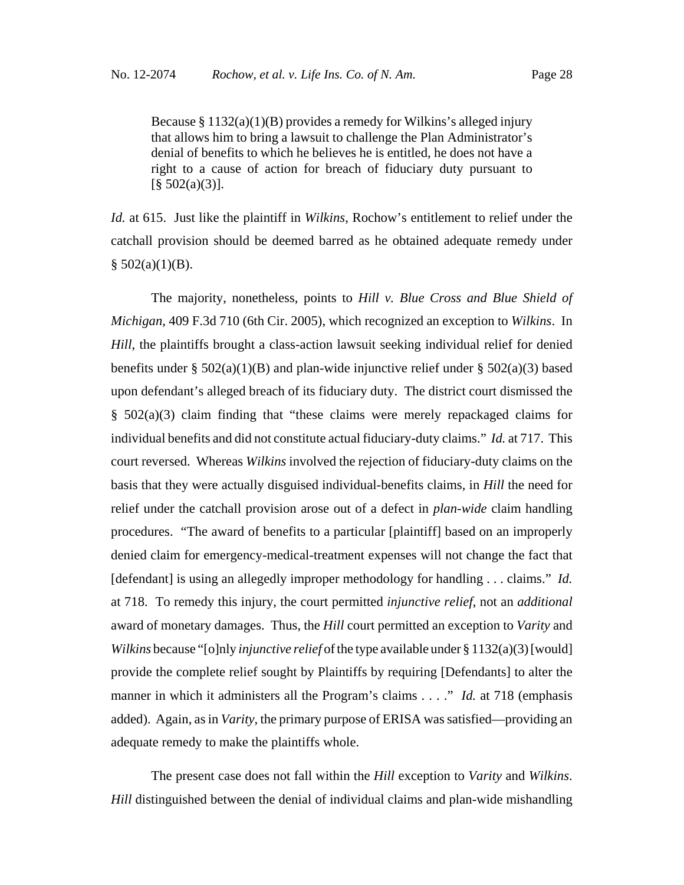Because  $\S 1132(a)(1)(B)$  provides a remedy for Wilkins's alleged injury that allows him to bring a lawsuit to challenge the Plan Administrator's denial of benefits to which he believes he is entitled, he does not have a right to a cause of action for breach of fiduciary duty pursuant to  $[\S 502(a)(3)].$ 

*Id.* at 615. Just like the plaintiff in *Wilkins*, Rochow's entitlement to relief under the catchall provision should be deemed barred as he obtained adequate remedy under  $§ 502(a)(1)(B).$ 

The majority, nonetheless, points to *Hill v. Blue Cross and Blue Shield of Michigan*, 409 F.3d 710 (6th Cir. 2005), which recognized an exception to *Wilkins*. In *Hill*, the plaintiffs brought a class-action lawsuit seeking individual relief for denied benefits under §  $502(a)(1)(B)$  and plan-wide injunctive relief under §  $502(a)(3)$  based upon defendant's alleged breach of its fiduciary duty. The district court dismissed the § 502(a)(3) claim finding that "these claims were merely repackaged claims for individual benefits and did not constitute actual fiduciary-duty claims." *Id.* at 717. This court reversed. Whereas *Wilkins* involved the rejection of fiduciary-duty claims on the basis that they were actually disguised individual-benefits claims, in *Hill* the need for relief under the catchall provision arose out of a defect in *plan-wide* claim handling procedures. "The award of benefits to a particular [plaintiff] based on an improperly denied claim for emergency-medical-treatment expenses will not change the fact that [defendant] is using an allegedly improper methodology for handling . . . claims." *Id.* at 718. To remedy this injury, the court permitted *injunctive relief*, not an *additional* award of monetary damages. Thus, the *Hill* court permitted an exception to *Varity* and *Wilkins* because "[o]nly *injunctive relief* of the type available under § 1132(a)(3) [would] provide the complete relief sought by Plaintiffs by requiring [Defendants] to alter the manner in which it administers all the Program's claims . . . ." *Id.* at 718 (emphasis added). Again, as in *Varity*, the primary purpose of ERISA was satisfied—providing an adequate remedy to make the plaintiffs whole.

The present case does not fall within the *Hill* exception to *Varity* and *Wilkins*. *Hill* distinguished between the denial of individual claims and plan-wide mishandling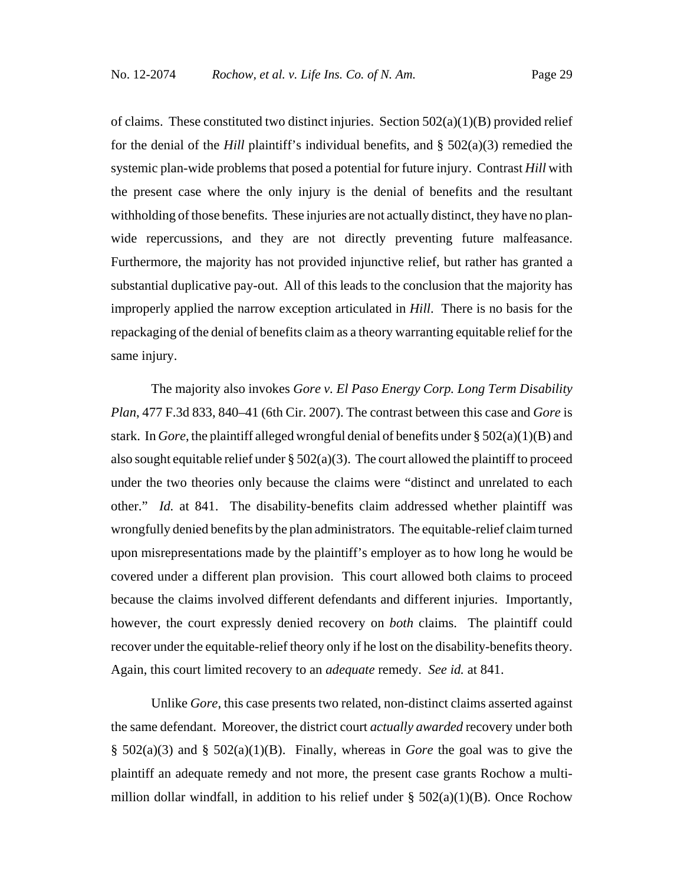of claims. These constituted two distinct injuries. Section  $502(a)(1)(B)$  provided relief for the denial of the *Hill* plaintiff's individual benefits, and  $\S$  502(a)(3) remedied the systemic plan-wide problems that posed a potential for future injury. Contrast *Hill* with the present case where the only injury is the denial of benefits and the resultant withholding of those benefits. These injuries are not actually distinct, they have no planwide repercussions, and they are not directly preventing future malfeasance. Furthermore, the majority has not provided injunctive relief, but rather has granted a substantial duplicative pay-out. All of this leads to the conclusion that the majority has improperly applied the narrow exception articulated in *Hill*. There is no basis for the repackaging of the denial of benefits claim as a theory warranting equitable relief for the same injury.

The majority also invokes *Gore v. El Paso Energy Corp. Long Term Disability Plan*, 477 F.3d 833, 840–41 (6th Cir. 2007). The contrast between this case and *Gore* is stark. In *Gore*, the plaintiff alleged wrongful denial of benefits under § 502(a)(1)(B) and also sought equitable relief under  $\S 502(a)(3)$ . The court allowed the plaintiff to proceed under the two theories only because the claims were "distinct and unrelated to each other." *Id.* at 841. The disability-benefits claim addressed whether plaintiff was wrongfully denied benefits by the plan administrators. The equitable-relief claim turned upon misrepresentations made by the plaintiff's employer as to how long he would be covered under a different plan provision. This court allowed both claims to proceed because the claims involved different defendants and different injuries. Importantly, however, the court expressly denied recovery on *both* claims. The plaintiff could recover under the equitable-relief theory only if he lost on the disability-benefits theory. Again, this court limited recovery to an *adequate* remedy. *See id.* at 841.

Unlike *Gore*, this case presents two related, non-distinct claims asserted against the same defendant. Moreover, the district court *actually awarded* recovery under both § 502(a)(3) and § 502(a)(1)(B). Finally, whereas in *Gore* the goal was to give the plaintiff an adequate remedy and not more, the present case grants Rochow a multimillion dollar windfall, in addition to his relief under  $\S$  502(a)(1)(B). Once Rochow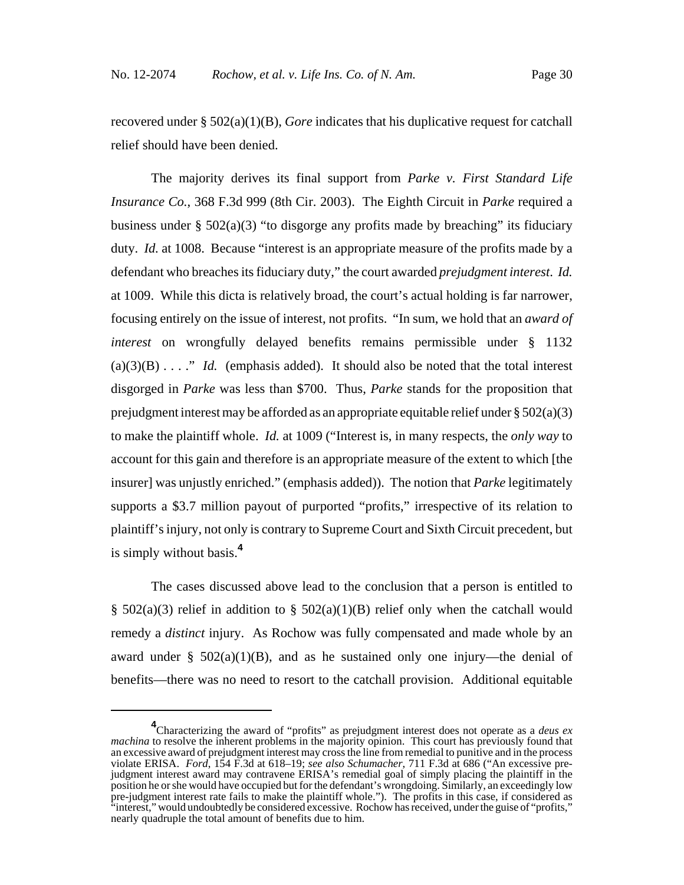recovered under § 502(a)(1)(B), *Gore* indicates that his duplicative request for catchall relief should have been denied.

The majority derives its final support from *Parke v. First Standard Life Insurance Co.*, 368 F.3d 999 (8th Cir. 2003). The Eighth Circuit in *Parke* required a business under  $\S$  502(a)(3) "to disgorge any profits made by breaching" its fiduciary duty. *Id.* at 1008. Because "interest is an appropriate measure of the profits made by a defendant who breaches its fiduciary duty," the court awarded *prejudgment interest*. *Id.* at 1009. While this dicta is relatively broad, the court's actual holding is far narrower, focusing entirely on the issue of interest, not profits. "In sum, we hold that an *award of interest* on wrongfully delayed benefits remains permissible under § 1132  $(a)(3)(B) \ldots$ ." *Id.* (emphasis added). It should also be noted that the total interest disgorged in *Parke* was less than \$700. Thus, *Parke* stands for the proposition that prejudgment interest may be afforded as an appropriate equitable relief under  $\S 502(a)(3)$ to make the plaintiff whole. *Id.* at 1009 ("Interest is, in many respects, the *only way* to account for this gain and therefore is an appropriate measure of the extent to which [the insurer] was unjustly enriched." (emphasis added)). The notion that *Parke* legitimately supports a \$3.7 million payout of purported "profits," irrespective of its relation to plaintiff's injury, not only is contrary to Supreme Court and Sixth Circuit precedent, but is simply without basis.**<sup>4</sup>**

The cases discussed above lead to the conclusion that a person is entitled to §  $502(a)(3)$  relief in addition to §  $502(a)(1)(B)$  relief only when the catchall would remedy a *distinct* injury. As Rochow was fully compensated and made whole by an award under §  $502(a)(1)(B)$ , and as he sustained only one injury—the denial of benefits—there was no need to resort to the catchall provision. Additional equitable

**<sup>4</sup>** Characterizing the award of "profits" as prejudgment interest does not operate as a *deus ex machina* to resolve the inherent problems in the majority opinion. This court has previously found that an excessive award of prejudgment interest may cross the line from remedial to punitive and in the process violate ERISA. *Ford*, 154 F.3d at 618–19; *see also Schumacher*, 711 F.3d at 686 ("An excessive prejudgment interest award may contravene ERISA's remedial goal of simply placing the plaintiff in the position he or she would have occupied but for the defendant's wrongdoing. Similarly, an exceedingly low pre-judgment interest rate fails to make the plaintiff whole."). The profits in this case, if considered as "interest," would undoubtedly be considered excessive. Rochow has received, under the guise of "profits," nearly quadruple the total amount of benefits due to him.